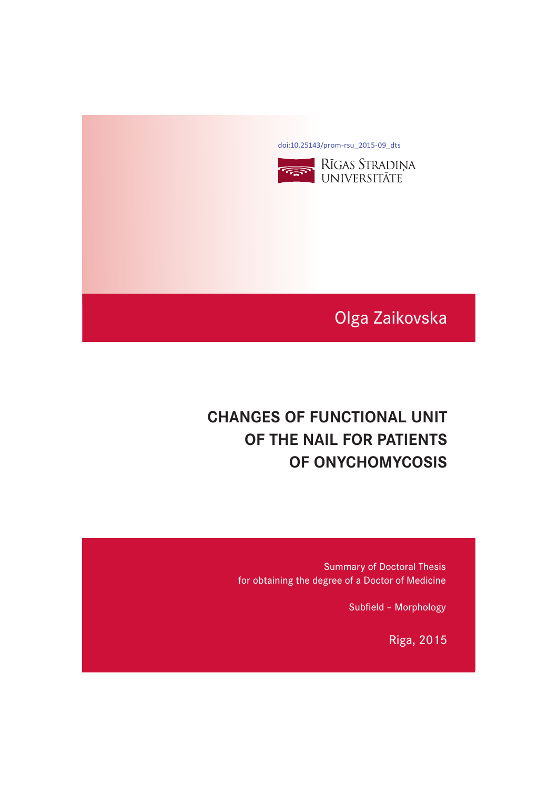[doi:10.25143/prom-rsu\\_2015-09\\_dts](https://doi.org/10.25143/prom-rsu_2015-09_dts)



# Olga Zaikovska

# **CHANGES OF FUNCTIONAL UNIT OF THE NAIL FOR PATIENTS OF ONYCHOMYCOSIS OF ONYCHOMYCOSIS**

Summary of Doctoral Thesis for obtaining the degree of a Doctor of Medicine

Subfield – Morphology

Riga, 2015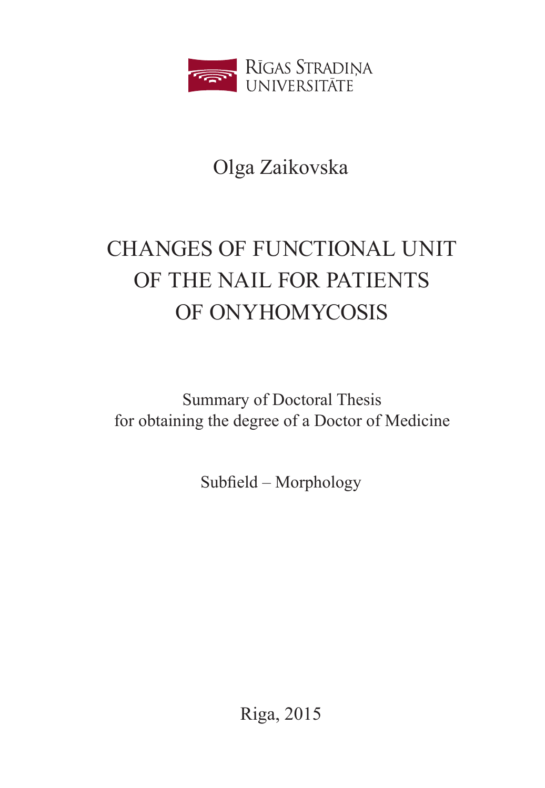

# Olga Zaikovska

# CHANGES OF FUNCTIONAL UNIT OF THE NAIL FOR PATIENTS OF ONYHOMYCOSIS

Summary of Doctoral Thesis for obtaining the degree of a Doctor of Medicine

Subfield – Morphology

Riga, 2015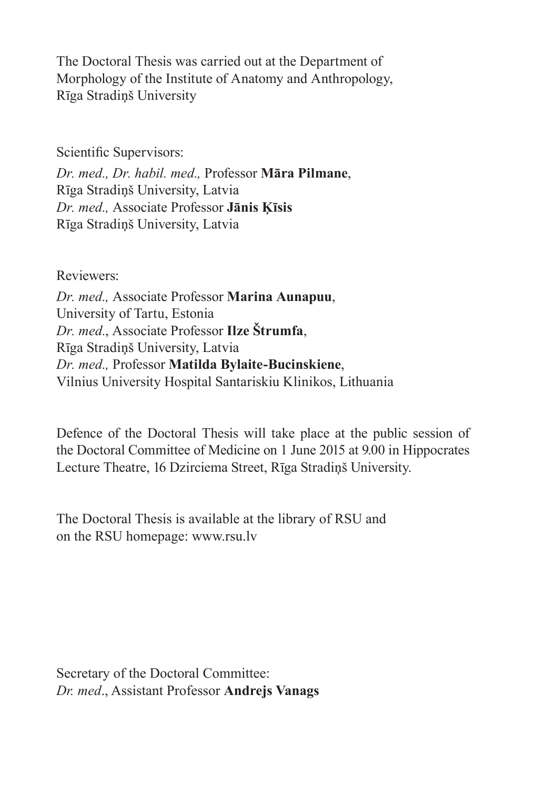The Doctoral Thesis was carried out at the Department of Morphology of the Institute of Anatomy and Anthropology, Rīga Stradiņš University

Scientific Supervisors:

*Dr. med., Dr. habil. med.,* Professor **Māra Pilmane**, Rīga Stradiņš University, Latvia *Dr. med.,* Associate Professor **Jānis Ķīsis** Rīga Stradiņš University, Latvia

Reviewers: *Dr. med.,* Associate Professor **Marina Aunapuu**, University of Tartu, Estonia *Dr. med.*, Associate Professor **Ilze Štrumfa**, Rīga Stradiņš University, Latvia *Dr. med.,* Professor **Matilda Bylaite-Bucinskiene**, Vilnius University Hospital Santariskiu Klinikos, Lithuania

Defence of the Doctoral Thesis will take place at the public session of the Doctoral Committee of Medicine on 1 June 2015 at 9.00 in Hippocrates Lecture Theatre, 16 Dzirciema Street, Rīga Stradiņš University.

The Doctoral Thesis is available at the library of RSU and on the RSU homepage: www.rsu.lv

Secretary of the Doctoral Committee: *Dr. med*., Assistant Professor **Andrejs Vanags**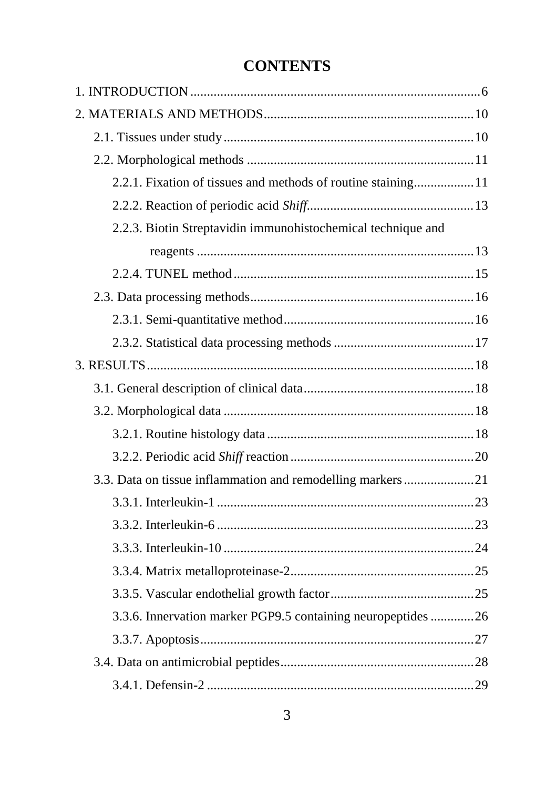# **CONTENTS**

| 2.2.1. Fixation of tissues and methods of routine staining11 |  |
|--------------------------------------------------------------|--|
|                                                              |  |
| 2.2.3. Biotin Streptavidin immunohistochemical technique and |  |
|                                                              |  |
|                                                              |  |
|                                                              |  |
|                                                              |  |
|                                                              |  |
|                                                              |  |
|                                                              |  |
|                                                              |  |
|                                                              |  |
|                                                              |  |
| 3.3. Data on tissue inflammation and remodelling markers 21  |  |
|                                                              |  |
|                                                              |  |
|                                                              |  |
|                                                              |  |
|                                                              |  |
| 3.3.6. Innervation marker PGP9.5 containing neuropeptides 26 |  |
|                                                              |  |
|                                                              |  |
|                                                              |  |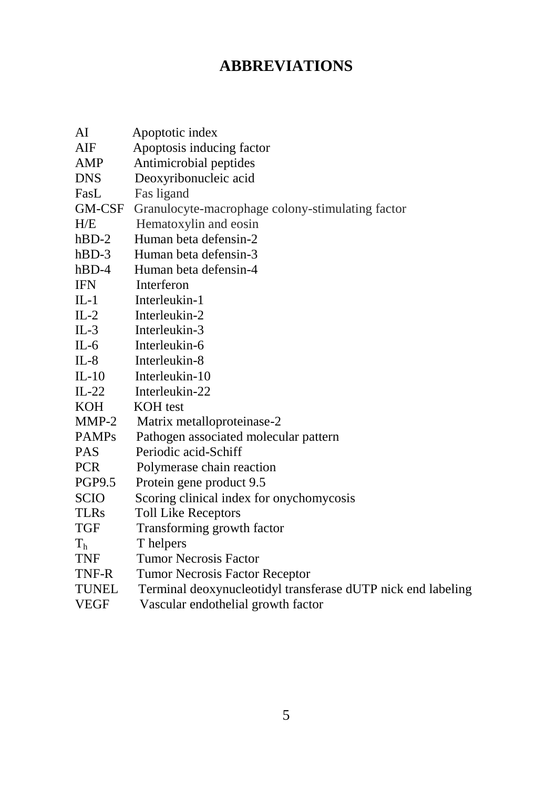# **ABBREVIATIONS**

| AI             | Apoptotic index                                              |
|----------------|--------------------------------------------------------------|
| $\rm{AIF}$     | Apoptosis inducing factor                                    |
| AMP            | Antimicrobial peptides                                       |
| <b>DNS</b>     | Deoxyribonucleic acid                                        |
| FasL           | Fas ligand                                                   |
| GM-CSF         | Granulocyte-macrophage colony-stimulating factor             |
| H/E            | Hematoxylin and eosin                                        |
| $hBD-2$        | Human beta defensin-2                                        |
| $hBD-3$        | Human beta defensin-3                                        |
| $hBD-4$        | Human beta defensin-4                                        |
| <b>IFN</b>     | Interferon                                                   |
| $IL-1$         | Interleukin-1                                                |
| $IL-2$         | Interleukin-2                                                |
| $IL-3$         | Interleukin-3                                                |
| $IL-6$         | Interleukin-6                                                |
| $IL-8$         | Interleukin-8                                                |
| $IL-10$        | Interleukin-10                                               |
| $IL-22$        | Interleukin-22                                               |
| <b>KOH</b>     | <b>KOH</b> test                                              |
| $MMP-2$        | Matrix metalloproteinase-2                                   |
| <b>PAMPs</b>   | Pathogen associated molecular pattern                        |
| <b>PAS</b>     | Periodic acid-Schiff                                         |
| <b>PCR</b>     | Polymerase chain reaction                                    |
| <b>PGP9.5</b>  | Protein gene product 9.5                                     |
| <b>SCIO</b>    | Scoring clinical index for onychomycosis                     |
| <b>TLRs</b>    | <b>Toll Like Receptors</b>                                   |
| <b>TGF</b>     | Transforming growth factor                                   |
| T <sub>h</sub> | T helpers                                                    |
| <b>TNF</b>     | <b>Tumor Necrosis Factor</b>                                 |
| TNF-R          | Tumor Necrosis Factor Receptor                               |
| <b>TUNEL</b>   | Terminal deoxynucleotidyl transferase dUTP nick end labeling |
| VEGF           | Vascular endothelial growth factor                           |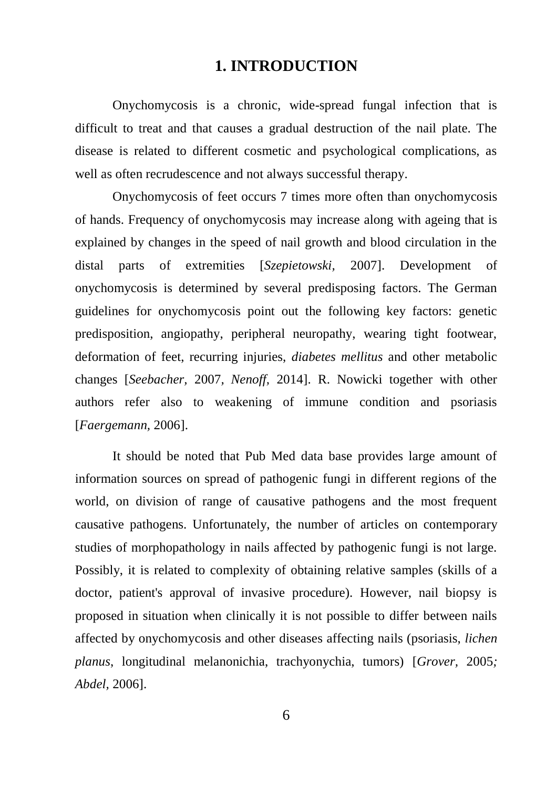## **1. INTRODUCTION**

<span id="page-6-0"></span>Onychomycosis is a chronic, wide-spread fungal infection that is difficult to treat and that causes a gradual destruction of the nail plate. The disease is related to different cosmetic and psychological complications, as well as often recrudescence and not always successful therapy.

Onychomycosis of feet occurs 7 times more often than onychomycosis of hands. Frequency of onychomycosis may increase along with ageing that is explained by changes in the speed of nail growth and blood circulation in the distal parts of extremities [*[Szepietowski,](http://www.ncbi.nlm.nih.gov/pubmed?term=%22Szepietowski%20JC%22%5BAuthor%5D)* 2007]. Development of onychomycosis is determined by several predisposing factors. The German guidelines for onychomycosis point out the following key factors: genetic predisposition, angiopathy, peripheral neuropathy, wearing tight footwear, deformation of feet, recurring injuries, *diabetes mellitus* and other metabolic changes [*Seebacher,* 2007*, Nenoff,* 2014]. R. Nowicki together with other authors refer also to weakening of immune condition and psoriasis [*Faergemann,* 2006].

It should be noted that Pub Med data base provides large amount of information sources on spread of pathogenic fungi in different regions of the world, on division of range of causative pathogens and the most frequent causative pathogens. Unfortunately, the number of articles on contemporary studies of morphopathology in nails affected by pathogenic fungi is not large. Possibly, it is related to complexity of obtaining relative samples (skills of a doctor, patient's approval of invasive procedure). However, nail biopsy is proposed in situation when clinically it is not possible to differ between nails affected by onychomycosis and other diseases affecting nails (psoriasis, *lichen planus*, longitudinal melanonichia, trachyonychia, tumors) [*Grover,* 2005*; Abdel,* 2006].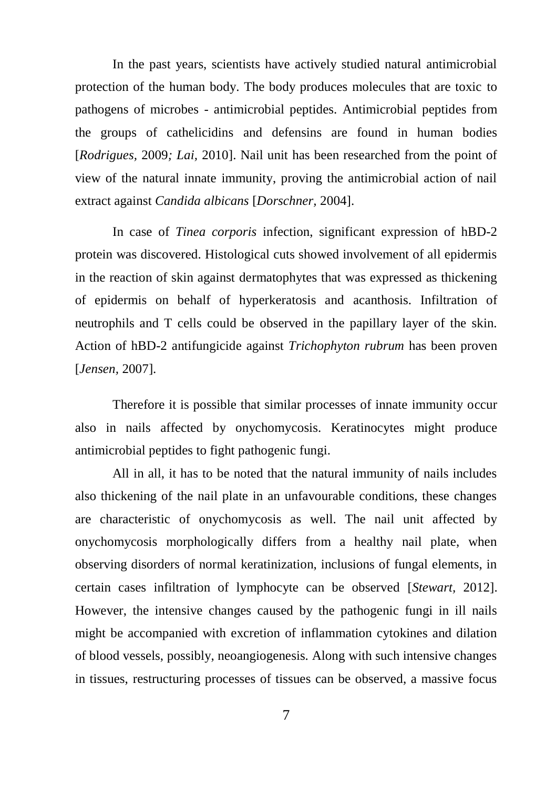In the past years, scientists have actively studied natural antimicrobial protection of the human body. The body produces molecules that are toxic to pathogens of microbes - antimicrobial peptides. Antimicrobial peptides from the groups of cathelicidins and defensins are found in human bodies [*Rodrigues,* 2009*; Lai,* 2010]. Nail unit has been researched from the point of view of the natural innate immunity, proving the antimicrobial action of nail extract against *Candida albicans* [*Dorschner,* 2004].

In case of *Tinea corporis* infection, significant expression of hBD-2 protein was discovered. Histological cuts showed involvement of all epidermis in the reaction of skin against dermatophytes that was expressed as thickening of epidermis on behalf of hyperkeratosis and acanthosis. Infiltration of neutrophils and T cells could be observed in the papillary layer of the skin. Action of hBD-2 antifungicide against *Trichophyton rubrum* has been proven [*Jensen,* 2007].

Therefore it is possible that similar processes of innate immunity occur also in nails affected by onychomycosis. Keratinocytes might produce antimicrobial peptides to fight pathogenic fungi.

All in all, it has to be noted that the natural immunity of nails includes also thickening of the nail plate in an unfavourable conditions, these changes are characteristic of onychomycosis as well. The nail unit affected by onychomycosis morphologically differs from a healthy nail plate, when observing disorders of normal keratinization, inclusions of fungal elements, in certain cases infiltration of lymphocyte can be observed [*Stewart,* 2012]. However, the intensive changes caused by the pathogenic fungi in ill nails might be accompanied with excretion of inflammation cytokines and dilation of blood vessels, possibly, neoangiogenesis. Along with such intensive changes in tissues, restructuring processes of tissues can be observed, a massive focus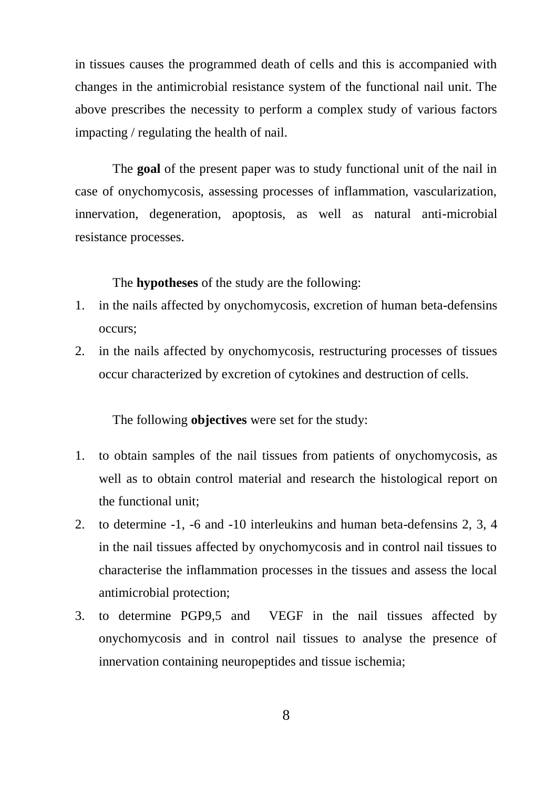in tissues causes the programmed death of cells and this is accompanied with changes in the antimicrobial resistance system of the functional nail unit. The above prescribes the necessity to perform a complex study of various factors impacting / regulating the health of nail.

The **goal** of the present paper was to study functional unit of the nail in case of onychomycosis, assessing processes of inflammation, vascularization, innervation, degeneration, apoptosis, as well as natural anti-microbial resistance processes.

The **hypotheses** of the study are the following:

- 1. in the nails affected by onychomycosis, excretion of human beta-defensins occurs;
- 2. in the nails affected by onychomycosis, restructuring processes of tissues occur characterized by excretion of cytokines and destruction of cells.

The following **objectives** were set for the study:

- 1. to obtain samples of the nail tissues from patients of onychomycosis, as well as to obtain control material and research the histological report on the functional unit;
- 2. to determine -1, -6 and -10 interleukins and human beta-defensins 2, 3, 4 in the nail tissues affected by onychomycosis and in control nail tissues to characterise the inflammation processes in the tissues and assess the local antimicrobial protection;
- 3. to determine PGP9,5 and VEGF in the nail tissues affected by onychomycosis and in control nail tissues to analyse the presence of innervation containing neuropeptides and tissue ischemia;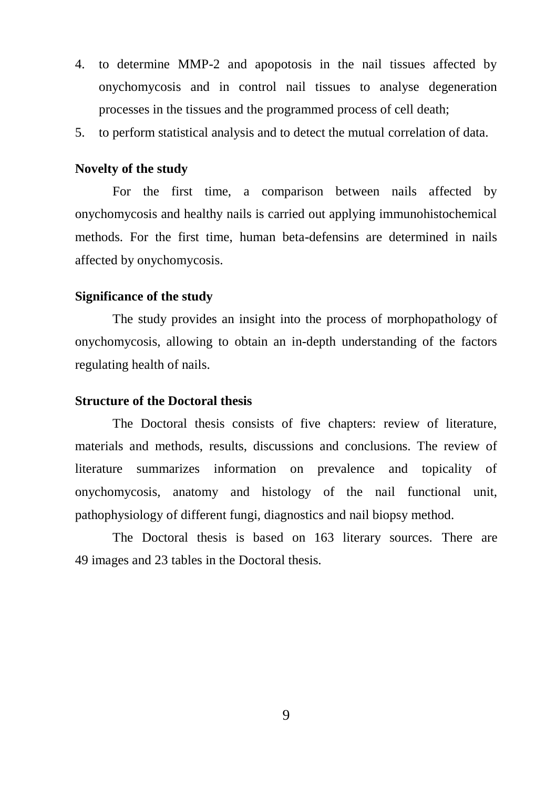- 4. to determine MMP-2 and apopotosis in the nail tissues affected by onychomycosis and in control nail tissues to analyse degeneration processes in the tissues and the programmed process of cell death;
- 5. to perform statistical analysis and to detect the mutual correlation of data.

#### **Novelty of the study**

For the first time, a comparison between nails affected by onychomycosis and healthy nails is carried out applying immunohistochemical methods. For the first time, human beta-defensins are determined in nails affected by onychomycosis.

#### **Significance of the study**

The study provides an insight into the process of morphopathology of onychomycosis, allowing to obtain an in-depth understanding of the factors regulating health of nails.

#### **Structure of the Doctoral thesis**

The Doctoral thesis consists of five chapters: review of literature, materials and methods, results, discussions and conclusions. The review of literature summarizes information on prevalence and topicality of onychomycosis, anatomy and histology of the nail functional unit, pathophysiology of different fungi, diagnostics and nail biopsy method.

The Doctoral thesis is based on 163 literary sources. There are 49 images and 23 tables in the Doctoral thesis.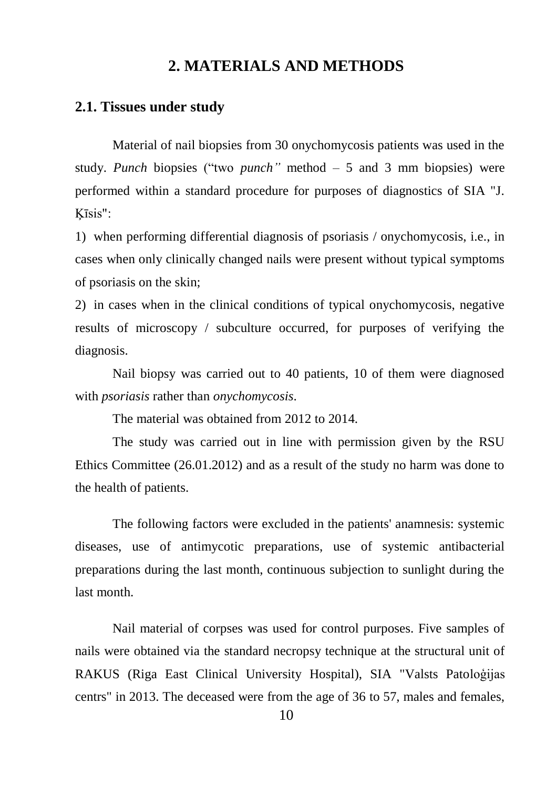# **2. MATERIALS AND METHODS**

#### <span id="page-10-1"></span><span id="page-10-0"></span>**2.1. Tissues under study**

Material of nail biopsies from 30 onychomycosis patients was used in the study. *Punch* biopsies ("two *punch"* method – 5 and 3 mm biopsies) were performed within a standard procedure for purposes of diagnostics of SIA "J. Ķīsis":

1) when performing differential diagnosis of psoriasis / onychomycosis, i.e., in cases when only clinically changed nails were present without typical symptoms of psoriasis on the skin;

2) in cases when in the clinical conditions of typical onychomycosis, negative results of microscopy / subculture occurred, for purposes of verifying the diagnosis.

Nail biopsy was carried out to 40 patients, 10 of them were diagnosed with *psoriasis* rather than *onychomycosis*.

The material was obtained from 2012 to 2014.

The study was carried out in line with permission given by the RSU Ethics Committee (26.01.2012) and as a result of the study no harm was done to the health of patients.

The following factors were excluded in the patients' anamnesis: systemic diseases, use of antimycotic preparations, use of systemic antibacterial preparations during the last month, continuous subjection to sunlight during the last month.

Nail material of corpses was used for control purposes. Five samples of nails were obtained via the standard necropsy technique at the structural unit of RAKUS (Riga East Clinical University Hospital), SIA "Valsts Patoloģijas centrs" in 2013. The deceased were from the age of 36 to 57, males and females,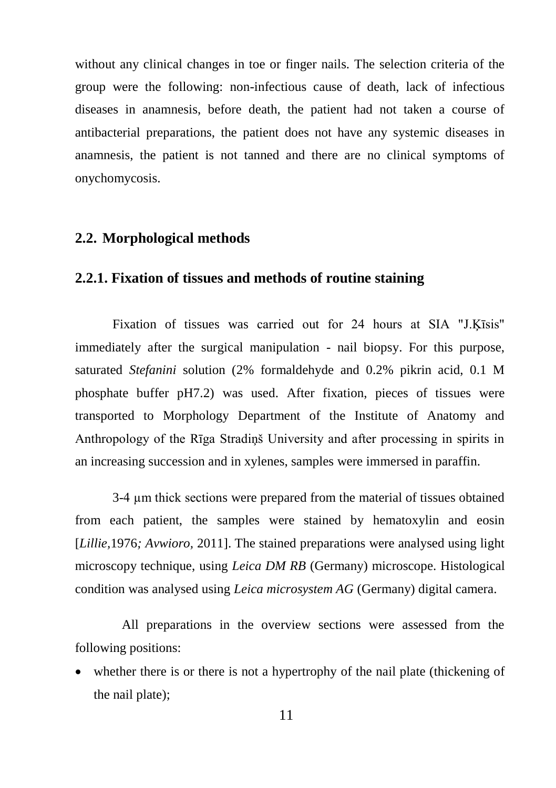without any clinical changes in toe or finger nails. The selection criteria of the group were the following: non-infectious cause of death, lack of infectious diseases in anamnesis, before death, the patient had not taken a course of antibacterial preparations, the patient does not have any systemic diseases in anamnesis, the patient is not tanned and there are no clinical symptoms of onychomycosis.

#### <span id="page-11-0"></span>**2.2. Morphological methods**

### <span id="page-11-1"></span>**2.2.1. Fixation of tissues and methods of routine staining**

Fixation of tissues was carried out for 24 hours at SIA "J.Ķīsis" immediately after the surgical manipulation - nail biopsy. For this purpose, saturated *Stefanini* solution (2% formaldehyde and 0.2% pikrin acid, 0.1 M phosphate buffer pH7.2) was used. After fixation, pieces of tissues were transported to Morphology Department of the Institute of Anatomy and Anthropology of the Rīga Stradiņš University and after processing in spirits in an increasing succession and in xylenes, samples were immersed in paraffin.

3-4 µm thick sections were prepared from the material of tissues obtained from each patient, the samples were stained by hematoxylin and eosin [*Lillie,*1976*; Avwioro,* 2011]. The stained preparations were analysed using light microscopy technique, using *Leica DM RB* (Germany) microscope. Histological condition was analysed using *Leica microsystem AG* (Germany) digital camera.

All preparations in the overview sections were assessed from the following positions:

 whether there is or there is not a hypertrophy of the nail plate (thickening of the nail plate);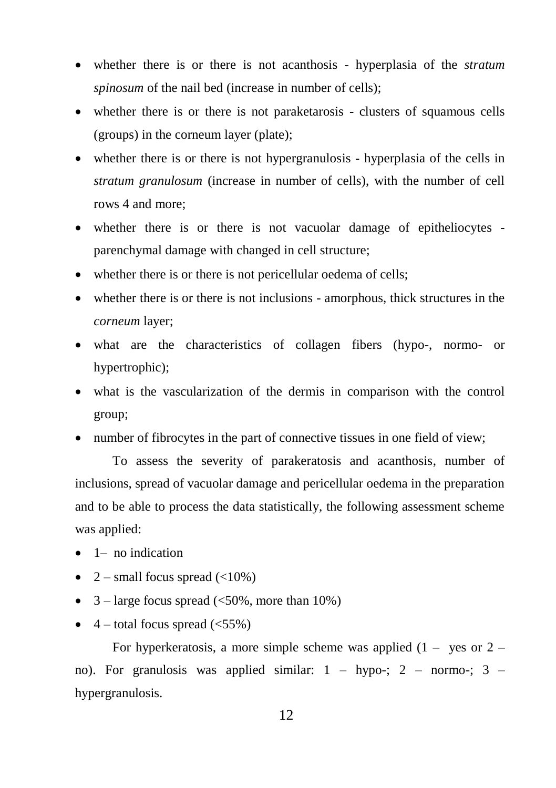- whether there is or there is not acanthosis hyperplasia of the *stratum spinosum* of the nail bed (increase in number of cells);
- whether there is or there is not paraketarosis clusters of squamous cells (groups) in the corneum layer (plate);
- whether there is or there is not hypergranulosis hyperplasia of the cells in *stratum granulosum* (increase in number of cells), with the number of cell rows 4 and more;
- whether there is or there is not vacuolar damage of epitheliocytes parenchymal damage with changed in cell structure;
- whether there is or there is not pericellular oedema of cells;
- whether there is or there is not inclusions amorphous, thick structures in the *corneum* layer;
- what are the characteristics of collagen fibers (hypo-, normo- or hypertrophic);
- what is the vascularization of the dermis in comparison with the control group;
- number of fibrocytes in the part of connective tissues in one field of view;

To assess the severity of parakeratosis and acanthosis, number of inclusions, spread of vacuolar damage and pericellular oedema in the preparation and to be able to process the data statistically, the following assessment scheme was applied:

- $\bullet$  1– no indication
- 2 small focus spread  $\left($  <10%)
- $3$  large focus spread (<50%, more than 10%)
- $\bullet$  4 total focus spread (<55%)

For hyperkeratosis, a more simple scheme was applied  $(1 - \text{yes or } 2 - \text{const})$ no). For granulosis was applied similar: 1 – hypo-; 2 – normo-; 3 – hypergranulosis.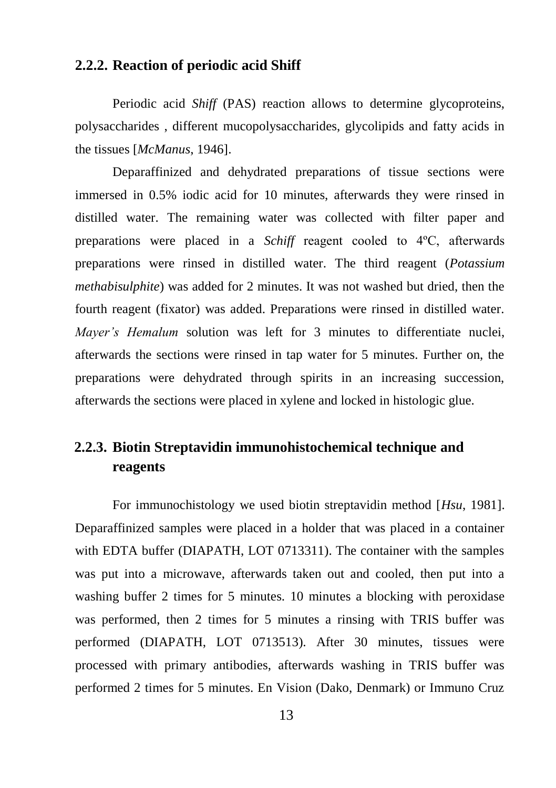## <span id="page-13-0"></span>**2.2.2. Reaction of periodic acid Shiff**

Periodic acid *Shiff* (PAS) reaction allows to determine glycoproteins, polysaccharides , different mucopolysaccharides, glycolipids and fatty acids in the tissues [*McManus*, 1946].

Deparaffinized and dehydrated preparations of tissue sections were immersed in 0.5% iodic acid for 10 minutes, afterwards they were rinsed in distilled water. The remaining water was collected with filter paper and preparations were placed in a *Schiff* reagent cooled to 4ºC, afterwards preparations were rinsed in distilled water. The third reagent (*Potassium methabisulphite*) was added for 2 minutes. It was not washed but dried, then the fourth reagent (fixator) was added. Preparations were rinsed in distilled water. *Mayer's Hemalum* solution was left for 3 minutes to differentiate nuclei, afterwards the sections were rinsed in tap water for 5 minutes. Further on, the preparations were dehydrated through spirits in an increasing succession, afterwards the sections were placed in xylene and locked in histologic glue.

# <span id="page-13-1"></span>**2.2.3. Biotin Streptavidin immunohistochemical technique and reagents**

For immunochistology we used biotin streptavidin method [*Hsu*, 1981]. Deparaffinized samples were placed in a holder that was placed in a container with EDTA buffer (DIAPATH, LOT 0713311). The container with the samples was put into a microwave, afterwards taken out and cooled, then put into a washing buffer 2 times for 5 minutes. 10 minutes a blocking with peroxidase was performed, then 2 times for 5 minutes a rinsing with TRIS buffer was performed (DIAPATH, LOT 0713513). After 30 minutes, tissues were processed with primary antibodies, afterwards washing in TRIS buffer was performed 2 times for 5 minutes. En Vision (Dako, Denmark) or Immuno Cruz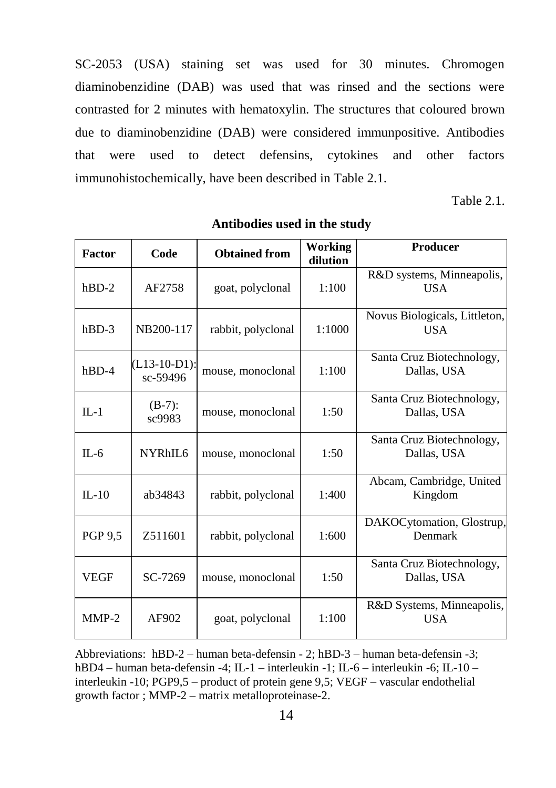SC-2053 (USA) staining set was used for 30 minutes. Chromogen diaminobenzidine (DAB) was used that was rinsed and the sections were contrasted for 2 minutes with hematoxylin. The structures that coloured brown due to diaminobenzidine (DAB) were considered immunpositive. Antibodies that were used to detect defensins, cytokines and other factors immunohistochemically, have been described in Table 2.1.

Table 2.1.

| Factor         | Code                       | <b>Obtained from</b> | <b>Working</b><br>dilution | Producer                                    |
|----------------|----------------------------|----------------------|----------------------------|---------------------------------------------|
| $hBD-2$        | AF2758                     | goat, polyclonal     | 1:100                      | R&D systems, Minneapolis,<br><b>USA</b>     |
| $hBD-3$        | NB200-117                  | rabbit, polyclonal   | 1:1000                     | Novus Biologicals, Littleton,<br><b>USA</b> |
| $hBD-4$        | $(L13-10-D1):$<br>sc-59496 | mouse, monoclonal    |                            | Santa Cruz Biotechnology,<br>Dallas, USA    |
| $\Pi - 1$      | $(B-7)$ :<br>sc9983        | mouse, monoclonal    | 1:50                       | Santa Cruz Biotechnology,<br>Dallas, USA    |
| $IL - 6$       | NYRhIL6                    | mouse, monoclonal    | 1:50                       | Santa Cruz Biotechnology,<br>Dallas, USA    |
| $IL-10$        | ab34843                    | rabbit, polyclonal   | 1:400                      | Abcam, Cambridge, United<br>Kingdom         |
| <b>PGP 9.5</b> | Z511601                    | rabbit, polyclonal   | 1:600                      | DAKOCytomation, Glostrup,<br>Denmark        |
| <b>VEGF</b>    | SC-7269                    | mouse, monoclonal    | 1:50                       | Santa Cruz Biotechnology,<br>Dallas, USA    |
| $MMP-2$        | AF902                      | goat, polyclonal     | 1:100                      | R&D Systems, Minneapolis,<br><b>USA</b>     |

**Antibodies used in the study**

Abbreviations: hBD-2 – human beta-defensin - 2; hBD-3 – human beta-defensin -3; hBD4 – human beta-defensin -4; IL-1 – interleukin -1; IL-6 – interleukin -6; IL-10 – interleukin -10; PGP9,5 – product of protein gene 9,5; VEGF – vascular endothelial growth factor ; MMP-2 – matrix metalloproteinase-2.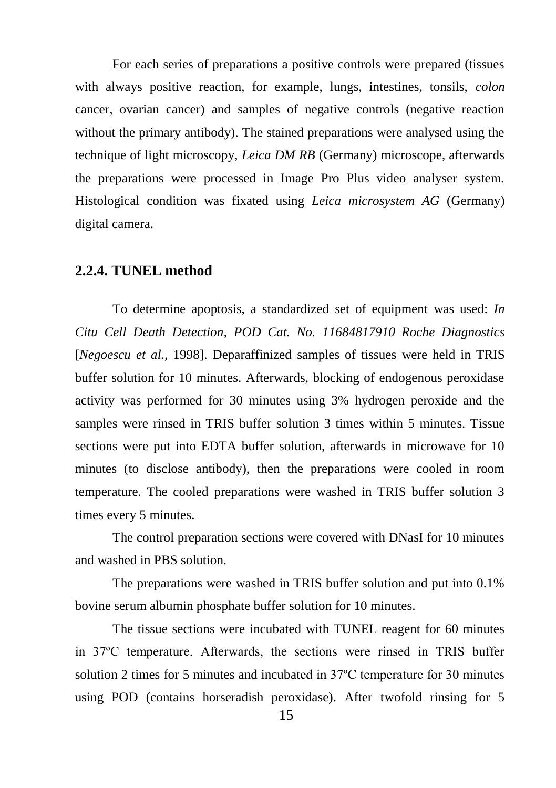For each series of preparations a positive controls were prepared (tissues with always positive reaction, for example, lungs, intestines, tonsils, *colon* cancer, ovarian cancer) and samples of negative controls (negative reaction without the primary antibody). The stained preparations were analysed using the technique of light microscopy, *Leica DM RB* (Germany) microscope, afterwards the preparations were processed in Image Pro Plus video analyser system. Histological condition was fixated using *Leica microsystem AG* (Germany) digital camera.

#### <span id="page-15-0"></span>**2.2.4. TUNEL method**

To determine apoptosis, a standardized set of equipment was used: *In Citu Cell Death Detection*, *POD Cat. No. 11684817910 Roche Diagnostics* [*Negoescu et al.,* 1998]. Deparaffinized samples of tissues were held in TRIS buffer solution for 10 minutes. Afterwards, blocking of endogenous peroxidase activity was performed for 30 minutes using 3% hydrogen peroxide and the samples were rinsed in TRIS buffer solution 3 times within 5 minutes. Tissue sections were put into EDTA buffer solution, afterwards in microwave for 10 minutes (to disclose antibody), then the preparations were cooled in room temperature. The cooled preparations were washed in TRIS buffer solution 3 times every 5 minutes.

The control preparation sections were covered with DNasI for 10 minutes and washed in PBS solution.

The preparations were washed in TRIS buffer solution and put into 0.1% bovine serum albumin phosphate buffer solution for 10 minutes.

The tissue sections were incubated with TUNEL reagent for 60 minutes in 37ºC temperature. Afterwards, the sections were rinsed in TRIS buffer solution 2 times for 5 minutes and incubated in 37ºC temperature for 30 minutes using POD (contains horseradish peroxidase). After twofold rinsing for 5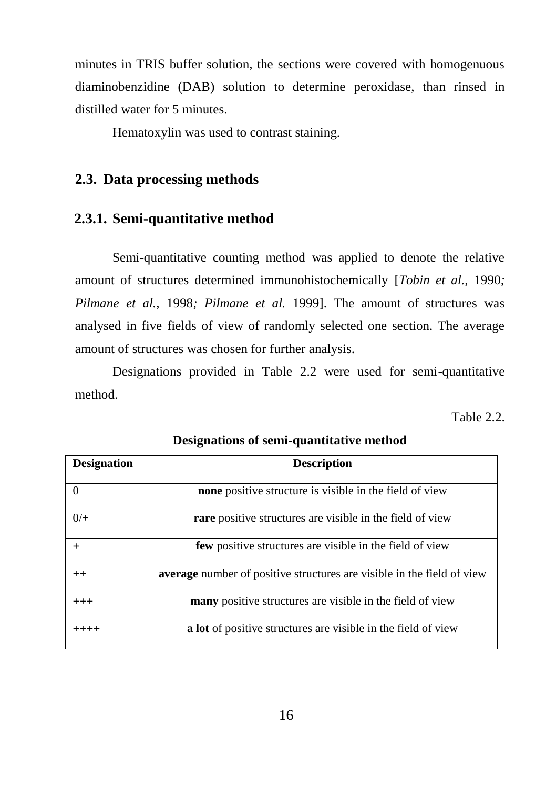minutes in TRIS buffer solution, the sections were covered with homogenuous diaminobenzidine (DAB) solution to determine peroxidase, than rinsed in distilled water for 5 minutes.

Hematoxylin was used to contrast staining.

## <span id="page-16-0"></span>**2.3. Data processing methods**

## <span id="page-16-1"></span>**2.3.1. Semi-quantitative method**

Semi-quantitative counting method was applied to denote the relative amount of structures determined immunohistochemically [*Tobin et al.,* 1990*; Pilmane et al.,* 1998*; Pilmane et al.* 1999]. The amount of structures was analysed in five fields of view of randomly selected one section. The average amount of structures was chosen for further analysis.

Designations provided in Table 2.2 were used for semi-quantitative method.

Table 2.2.

| <b>Designation</b> | <b>Description</b>                                                     |
|--------------------|------------------------------------------------------------------------|
|                    | <b>none</b> positive structure is visible in the field of view         |
| $0/$ +             | rare positive structures are visible in the field of view              |
|                    | <b>few</b> positive structures are visible in the field of view        |
| $++$               | average number of positive structures are visible in the field of view |
| $+++$              | many positive structures are visible in the field of view              |
| ++++               | a lot of positive structures are visible in the field of view          |

**Designations of semi-quantitative method**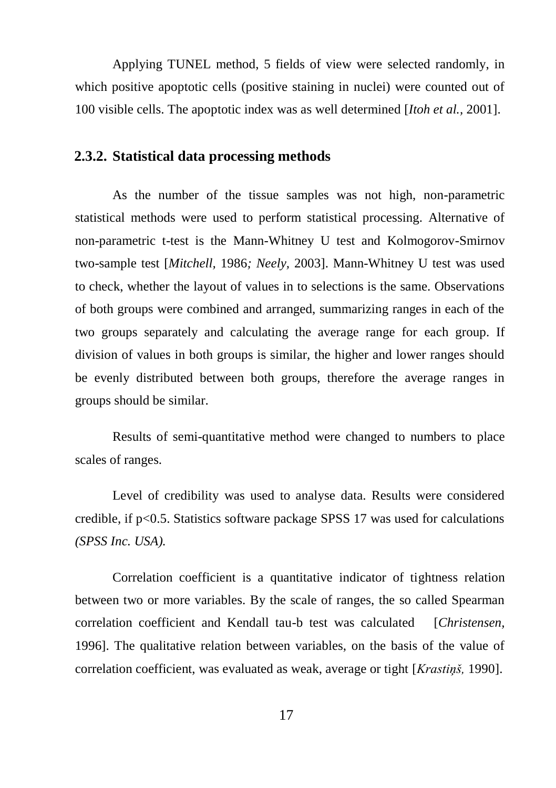Applying TUNEL method, 5 fields of view were selected randomly, in which positive apoptotic cells (positive staining in nuclei) were counted out of 100 visible cells. The apoptotic index was as well determined [*Itoh et al.,* 2001].

#### <span id="page-17-0"></span>**2.3.2. Statistical data processing methods**

As the number of the tissue samples was not high, non-parametric statistical methods were used to perform statistical processing. Alternative of non-parametric t-test is the Mann-Whitney U test and Kolmogorov-Smirnov two-sample test [*Mitchell,* 1986*; Neely,* 2003]. Mann-Whitney U test was used to check, whether the layout of values in to selections is the same. Observations of both groups were combined and arranged, summarizing ranges in each of the two groups separately and calculating the average range for each group. If division of values in both groups is similar, the higher and lower ranges should be evenly distributed between both groups, therefore the average ranges in groups should be similar.

Results of semi-quantitative method were changed to numbers to place scales of ranges.

Level of credibility was used to analyse data. Results were considered credible, if p<0.5. Statistics software package SPSS 17 was used for calculations *(SPSS Inc. USA).*

Correlation coefficient is a quantitative indicator of tightness relation between two or more variables. By the scale of ranges, the so called Spearman correlation coefficient and Kendall tau-b test was calculated [*Christensen,*  1996]. The qualitative relation between variables, on the basis of the value of correlation coefficient, was evaluated as weak, average or tight [*Krastiņš,* 1990].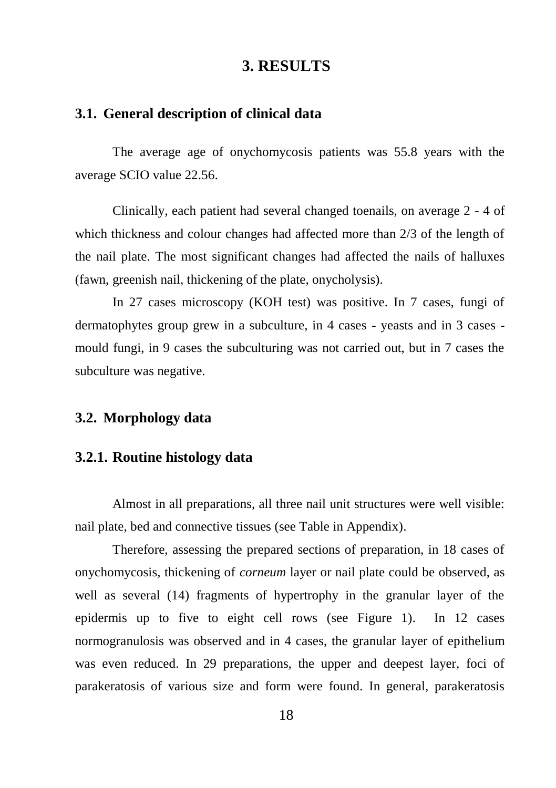## **3. RESULTS**

## <span id="page-18-1"></span><span id="page-18-0"></span>**3.1. General description of clinical data**

The average age of onychomycosis patients was 55.8 years with the average SCIO value 22.56.

Clinically, each patient had several changed toenails, on average 2 - 4 of which thickness and colour changes had affected more than 2/3 of the length of the nail plate. The most significant changes had affected the nails of halluxes (fawn, greenish nail, thickening of the plate, onycholysis).

In 27 cases microscopy (KOH test) was positive. In 7 cases, fungi of dermatophytes group grew in a subculture, in 4 cases - yeasts and in 3 cases mould fungi, in 9 cases the subculturing was not carried out, but in 7 cases the subculture was negative.

### <span id="page-18-2"></span>**3.2. Morphology data**

#### <span id="page-18-3"></span>**3.2.1. Routine histology data**

Almost in all preparations, all three nail unit structures were well visible: nail plate, bed and connective tissues (see Table in Appendix).

Therefore, assessing the prepared sections of preparation, in 18 cases of onychomycosis, thickening of *corneum* layer or nail plate could be observed, as well as several (14) fragments of hypertrophy in the granular layer of the epidermis up to five to eight cell rows (see Figure 1). In 12 cases normogranulosis was observed and in 4 cases, the granular layer of epithelium was even reduced. In 29 preparations, the upper and deepest layer, foci of parakeratosis of various size and form were found. In general, parakeratosis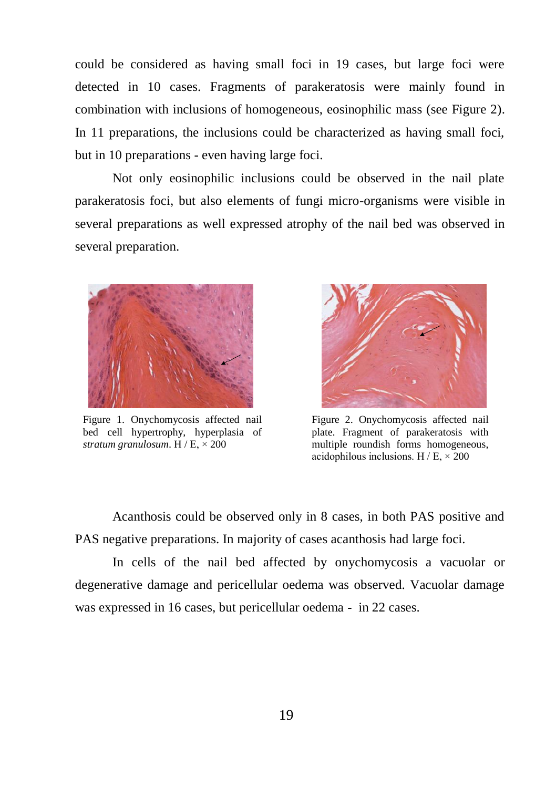could be considered as having small foci in 19 cases, but large foci were detected in 10 cases. Fragments of parakeratosis were mainly found in combination with inclusions of homogeneous, eosinophilic mass (see Figure 2). In 11 preparations, the inclusions could be characterized as having small foci, but in 10 preparations - even having large foci.

Not only eosinophilic inclusions could be observed in the nail plate parakeratosis foci, but also elements of fungi micro-organisms were visible in several preparations as well expressed atrophy of the nail bed was observed in several preparation.



Figure 1. Onychomycosis affected nail bed cell hypertrophy, hyperplasia of *stratum granulosum*.  $H / E \times 200$ 



Figure 2. Onychomycosis affected nail plate. Fragment of parakeratosis with multiple roundish forms homogeneous. acidophilous inclusions.  $H / E \times 200$ 

Acanthosis could be observed only in 8 cases, in both PAS positive and PAS negative preparations. In majority of cases acanthosis had large foci.

In cells of the nail bed affected by onychomycosis a vacuolar or degenerative damage and pericellular oedema was observed. Vacuolar damage was expressed in 16 cases, but pericellular oedema - in 22 cases.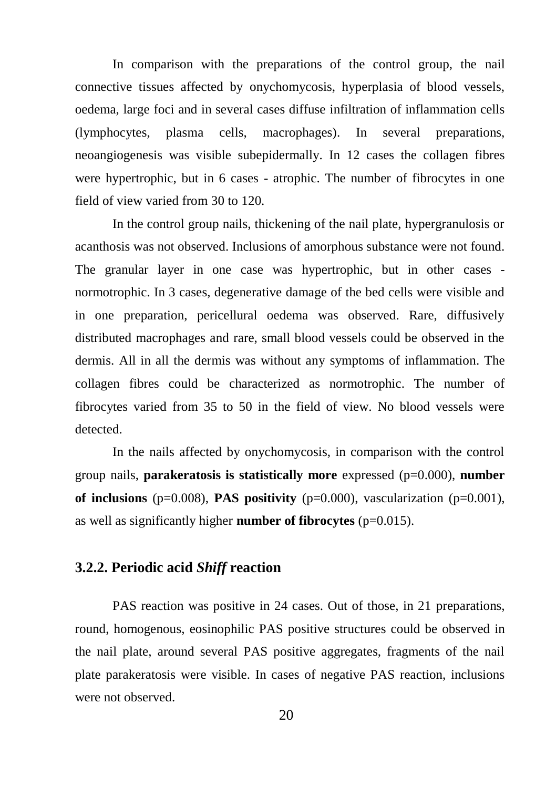In comparison with the preparations of the control group, the nail connective tissues affected by onychomycosis, hyperplasia of blood vessels, oedema, large foci and in several cases diffuse infiltration of inflammation cells (lymphocytes, plasma cells, macrophages). In several preparations, neoangiogenesis was visible subepidermally. In 12 cases the collagen fibres were hypertrophic, but in 6 cases - atrophic. The number of fibrocytes in one field of view varied from 30 to 120.

In the control group nails, thickening of the nail plate, hypergranulosis or acanthosis was not observed. Inclusions of amorphous substance were not found. The granular layer in one case was hypertrophic, but in other cases normotrophic. In 3 cases, degenerative damage of the bed cells were visible and in one preparation, pericellural oedema was observed. Rare, diffusively distributed macrophages and rare, small blood vessels could be observed in the dermis. All in all the dermis was without any symptoms of inflammation. The collagen fibres could be characterized as normotrophic. The number of fibrocytes varied from 35 to 50 in the field of view. No blood vessels were detected.

In the nails affected by onychomycosis, in comparison with the control group nails, **parakeratosis is statistically more** expressed  $(p=0.000)$ , **number of inclusions** ( $p=0.008$ ), **PAS positivity** ( $p=0.000$ ), vascularization ( $p=0.001$ ), as well as significantly higher **number of fibrocytes** (p=0.015).

### <span id="page-20-0"></span>**3.2.2. Periodic acid** *Shiff* **reaction**

PAS reaction was positive in 24 cases. Out of those, in 21 preparations, round, homogenous, eosinophilic PAS positive structures could be observed in the nail plate, around several PAS positive aggregates, fragments of the nail plate parakeratosis were visible. In cases of negative PAS reaction, inclusions were not observed.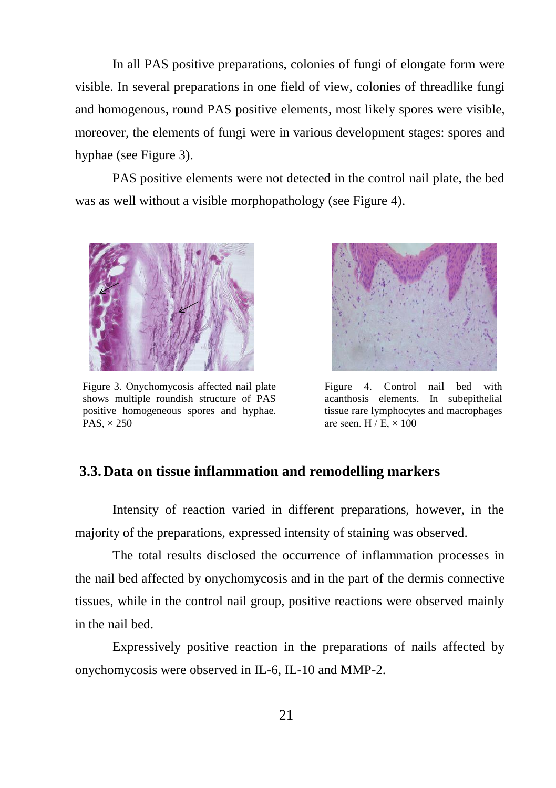In all PAS positive preparations, colonies of fungi of elongate form were visible. In several preparations in one field of view, colonies of threadlike fungi and homogenous, round PAS positive elements, most likely spores were visible, moreover, the elements of fungi were in various development stages: spores and hyphae (see Figure 3).

PAS positive elements were not detected in the control nail plate, the bed was as well without a visible morphopathology (see Figure 4).



Figure 3. Onychomycosis affected nail plate shows multiple roundish structure of PAS positive homogeneous spores and hyphae. PAS,  $\times$  250



Figure 4. Control nail bed with acanthosis elements. In subepithelial tissue rare lymphocytes and macrophages are seen.  $H / E \times 100$ 

#### <span id="page-21-0"></span>**3.3.Data on tissue inflammation and remodelling markers**

Intensity of reaction varied in different preparations, however, in the majority of the preparations, expressed intensity of staining was observed.

The total results disclosed the occurrence of inflammation processes in the nail bed affected by onychomycosis and in the part of the dermis connective tissues, while in the control nail group, positive reactions were observed mainly in the nail bed.

Expressively positive reaction in the preparations of nails affected by onychomycosis were observed in IL-6, IL-10 and MMP-2.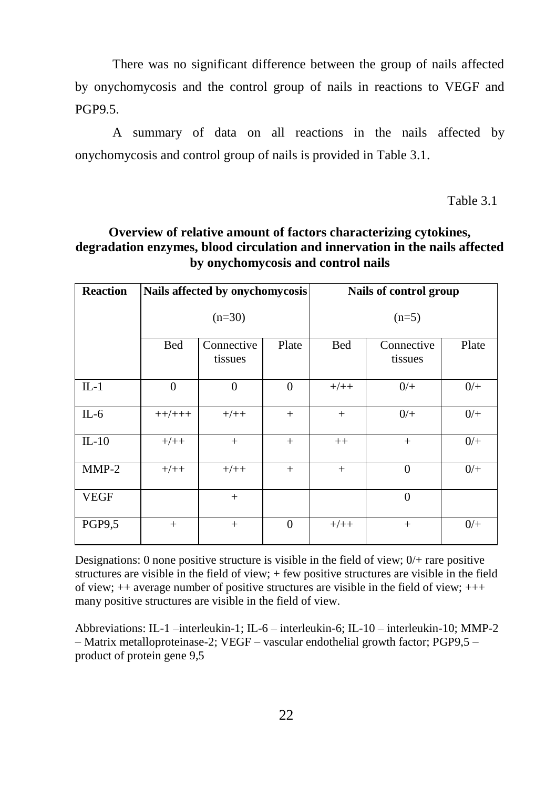There was no significant difference between the group of nails affected by onychomycosis and the control group of nails in reactions to VEGF and PGP9.5.

A summary of data on all reactions in the nails affected by onychomycosis and control group of nails is provided in Table 3.1.

Table 3.1

#### **Overview of relative amount of factors characterizing cytokines, degradation enzymes, blood circulation and innervation in the nails affected by onychomycosis and control nails**

| <b>Reaction</b> |            | Nails affected by onychomycosis |              | Nails of control group |                       |       |  |
|-----------------|------------|---------------------------------|--------------|------------------------|-----------------------|-------|--|
|                 |            | $(n=30)$                        |              | $(n=5)$                |                       |       |  |
|                 | <b>Bed</b> | Connective<br>tissues           | Plate        | Bed                    | Connective<br>tissues | Plate |  |
| $IL-1$          | $\Omega$   | $\mathbf{0}$                    | $\mathbf{0}$ | $+/++$                 | $0/+$                 | $0/+$ |  |
| $IL-6$          | $++/+++$   | $+/++$                          | $+$          | $+$                    | $0/+$                 | $0/+$ |  |
| $IL-10$         | $+/++$     | $^{+}$                          | $+$          | $^{++}$                | $^{+}$                | $0/+$ |  |
| $MMP-2$         | $+/++$     | $+/++$                          | $+$          | $+$                    | $\Omega$              | $0/+$ |  |
| <b>VEGF</b>     |            | $^{+}$                          |              |                        | $\Omega$              |       |  |
| PGP9,5          | $+$        | $^{+}$                          | $\Omega$     | $+/+$                  | $^{+}$                | $0/+$ |  |

Designations: 0 none positive structure is visible in the field of view; 0/+ rare positive structures are visible in the field of view; + few positive structures are visible in the field of view; ++ average number of positive structures are visible in the field of view; +++ many positive structures are visible in the field of view.

Abbreviations: IL-1 –interleukin-1; IL-6 – interleukin-6; IL-10 – interleukin-10; MMP-2 – Matrix metalloproteinase-2; VEGF – vascular endothelial growth factor; PGP9,5 – product of protein gene 9,5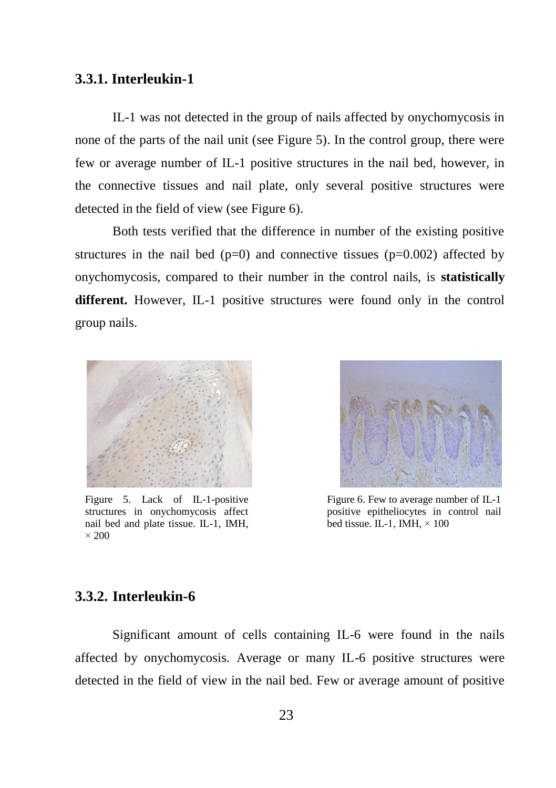#### <span id="page-23-0"></span>**3.3.1. Interleukin-1**

IL-1 was not detected in the group of nails affected by onychomycosis in none of the parts of the nail unit (see Figure 5). In the control group, there were few or average number of IL-1 positive structures in the nail bed, however, in the connective tissues and nail plate, only several positive structures were detected in the field of view (see Figure 6).

Both tests verified that the difference in number of the existing positive structures in the nail bed  $(p=0)$  and connective tissues  $(p=0.002)$  affected by onychomycosis, compared to their number in the control nails, is **statistically different.** However, IL-1 positive structures were found only in the control group nails.



Figure 5. Lack of IL-1-positive structures in onychomycosis affect nail bed and plate tissue. IL-1, IMH,  $\times$  200



Figure 6. Few to average number of IL-1 positive epitheliocytes in control nail bed tissue. IL-1, IMH,  $\times$  100

#### <span id="page-23-1"></span>**3.3.2. Interleukin-6**

Significant amount of cells containing IL-6 were found in the nails affected by onychomycosis. Average or many IL-6 positive structures were detected in the field of view in the nail bed. Few or average amount of positive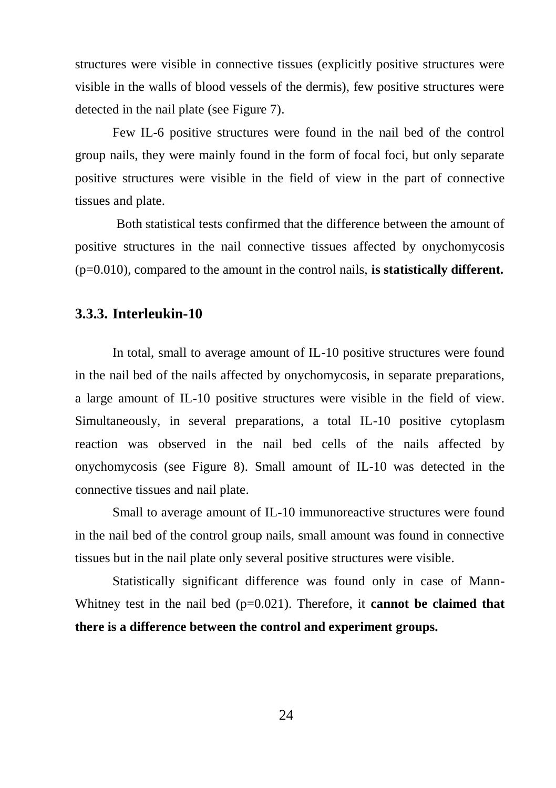structures were visible in connective tissues (explicitly positive structures were visible in the walls of blood vessels of the dermis), few positive structures were detected in the nail plate (see Figure 7).

Few IL-6 positive structures were found in the nail bed of the control group nails, they were mainly found in the form of focal foci, but only separate positive structures were visible in the field of view in the part of connective tissues and plate.

Both statistical tests confirmed that the difference between the amount of positive structures in the nail connective tissues affected by onychomycosis (p=0.010), compared to the amount in the control nails, **is statistically different.**

#### <span id="page-24-0"></span>**3.3.3. Interleukin-10**

In total, small to average amount of IL-10 positive structures were found in the nail bed of the nails affected by onychomycosis, in separate preparations, a large amount of IL-10 positive structures were visible in the field of view. Simultaneously, in several preparations, a total IL-10 positive cytoplasm reaction was observed in the nail bed cells of the nails affected by onychomycosis (see Figure 8). Small amount of IL-10 was detected in the connective tissues and nail plate.

Small to average amount of IL-10 immunoreactive structures were found in the nail bed of the control group nails, small amount was found in connective tissues but in the nail plate only several positive structures were visible.

Statistically significant difference was found only in case of Mann-Whitney test in the nail bed  $(p=0.021)$ . Therefore, it **cannot be claimed that there is a difference between the control and experiment groups.**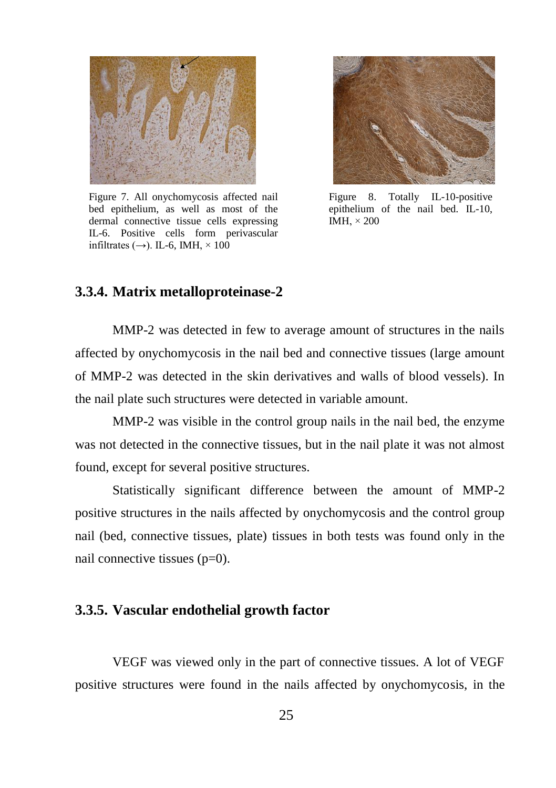

Figure 7. All onychomycosis affected nail bed epithelium, as well as most of the dermal connective tissue cells expressing IL-6. Positive cells form perivascular infiltrates ( $\rightarrow$ ). IL-6, IMH,  $\times$  100



Figure 8. Totally IL-10-positive epithelium of the nail bed. IL-10, IMH  $\times$  200

#### <span id="page-25-0"></span>**3.3.4. Matrix metalloproteinase-2**

MMP-2 was detected in few to average amount of structures in the nails affected by onychomycosis in the nail bed and connective tissues (large amount of MMP-2 was detected in the skin derivatives and walls of blood vessels). In the nail plate such structures were detected in variable amount.

MMP-2 was visible in the control group nails in the nail bed, the enzyme was not detected in the connective tissues, but in the nail plate it was not almost found, except for several positive structures.

Statistically significant difference between the amount of MMP-2 positive structures in the nails affected by onychomycosis and the control group nail (bed, connective tissues, plate) tissues in both tests was found only in the nail connective tissues (p=0).

#### <span id="page-25-1"></span>**3.3.5. Vascular endothelial growth factor**

VEGF was viewed only in the part of connective tissues. A lot of VEGF positive structures were found in the nails affected by onychomycosis, in the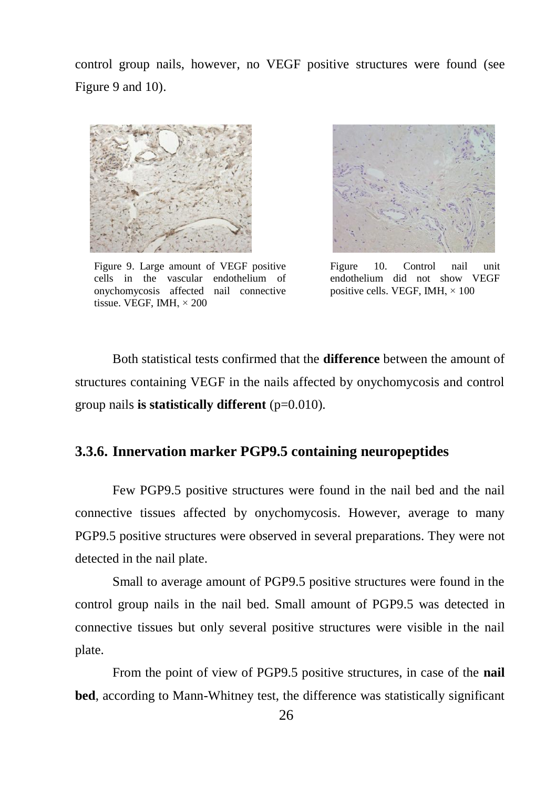control group nails, however, no VEGF positive structures were found (see Figure 9 and 10).



Figure 9. Large amount of VEGF positive cells in the vascular endothelium of onychomycosis affected nail connective tissue. VEGF, IMH, × 200



Figure 10. Control nail unit endothelium did not show VEGF positive cells. VEGF, IMH, × 100

Both statistical tests confirmed that the **difference** between the amount of structures containing VEGF in the nails affected by onychomycosis and control group nails **is statistically different** (p=0.010).

#### <span id="page-26-0"></span>**3.3.6. Innervation marker PGP9.5 containing neuropeptides**

Few PGP9.5 positive structures were found in the nail bed and the nail connective tissues affected by onychomycosis. However, average to many PGP9.5 positive structures were observed in several preparations. They were not detected in the nail plate.

Small to average amount of PGP9.5 positive structures were found in the control group nails in the nail bed. Small amount of PGP9.5 was detected in connective tissues but only several positive structures were visible in the nail plate.

From the point of view of PGP9.5 positive structures, in case of the **nail bed**, according to Mann-Whitney test, the difference was statistically significant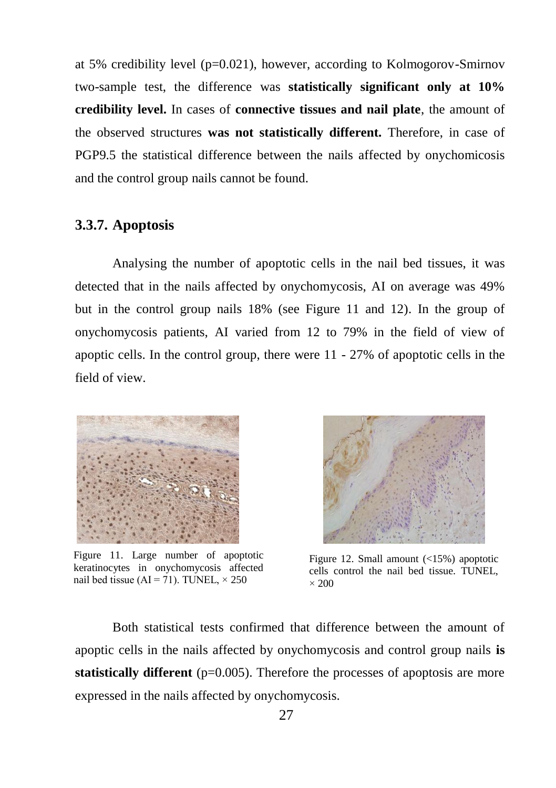at 5% credibility level ( $p=0.021$ ), however, according to Kolmogorov-Smirnov two-sample test, the difference was **statistically significant only at 10% credibility level.** In cases of **connective tissues and nail plate**, the amount of the observed structures **was not statistically different.** Therefore, in case of PGP9.5 the statistical difference between the nails affected by onychomicosis and the control group nails cannot be found.

#### <span id="page-27-0"></span>**3.3.7. Apoptosis**

Analysing the number of apoptotic cells in the nail bed tissues, it was detected that in the nails affected by onychomycosis, AI on average was 49% but in the control group nails 18% (see Figure 11 and 12). In the group of onychomycosis patients, AI varied from 12 to 79% in the field of view of apoptic cells. In the control group, there were 11 - 27% of apoptotic cells in the field of view.



Figure 11. Large number of apoptotic keratinocytes in onychomycosis affected nail bed tissue (AI = 71). TUNEL,  $\times$  250



Figure 12. Small amount (<15%) apoptotic cells control the nail bed tissue. TUNEL,  $\times$  200

Both statistical tests confirmed that difference between the amount of apoptic cells in the nails affected by onychomycosis and control group nails **is statistically different** (p=0.005). Therefore the processes of apoptosis are more expressed in the nails affected by onychomycosis.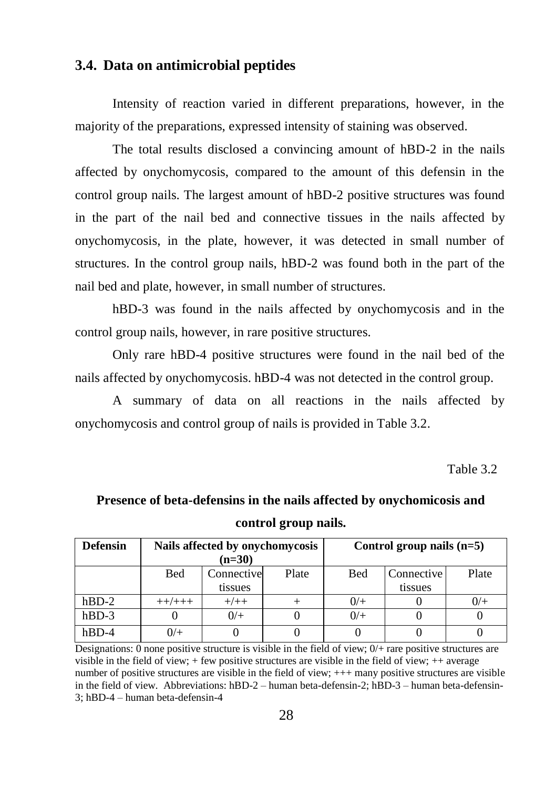# <span id="page-28-0"></span>**3.4. Data on antimicrobial peptides**

Intensity of reaction varied in different preparations, however, in the majority of the preparations, expressed intensity of staining was observed.

The total results disclosed a convincing amount of hBD-2 in the nails affected by onychomycosis, compared to the amount of this defensin in the control group nails. The largest amount of hBD-2 positive structures was found in the part of the nail bed and connective tissues in the nails affected by onychomycosis, in the plate, however, it was detected in small number of structures. In the control group nails, hBD-2 was found both in the part of the nail bed and plate, however, in small number of structures.

hBD-3 was found in the nails affected by onychomycosis and in the control group nails, however, in rare positive structures.

Only rare hBD-4 positive structures were found in the nail bed of the nails affected by onychomycosis. hBD-4 was not detected in the control group.

A summary of data on all reactions in the nails affected by onychomycosis and control group of nails is provided in Table 3.2.

Table 3.2

# **Presence of beta-defensins in the nails affected by onychomicosis and control group nails.**

| <b>Defensin</b> |            | Nails affected by onychomycosis |       | Control group nails $(n=5)$ |            |       |  |
|-----------------|------------|---------------------------------|-------|-----------------------------|------------|-------|--|
|                 |            | $(n=30)$                        |       |                             |            |       |  |
|                 | <b>Bed</b> | Connective                      | Plate | <b>Bed</b>                  | Connective | Plate |  |
|                 |            | tissues                         |       |                             | tissues    |       |  |
| $hBD-2$         | ++/+++     | $+/++$                          |       | 0/                          |            | 0/    |  |
| $hBD-3$         |            | $0/+$                           |       | 0/                          |            |       |  |
| hBD-4           | 0/         |                                 |       |                             |            |       |  |

Designations: 0 none positive structure is visible in the field of view; 0/+ rare positive structures are visible in the field of view; + few positive structures are visible in the field of view; ++ average number of positive structures are visible in the field of view; +++ many positive structures are visible in the field of view. Abbreviations: hBD-2 – human beta-defensin-2; hBD-3 – human beta-defensin-3; hBD-4 – human beta-defensin-4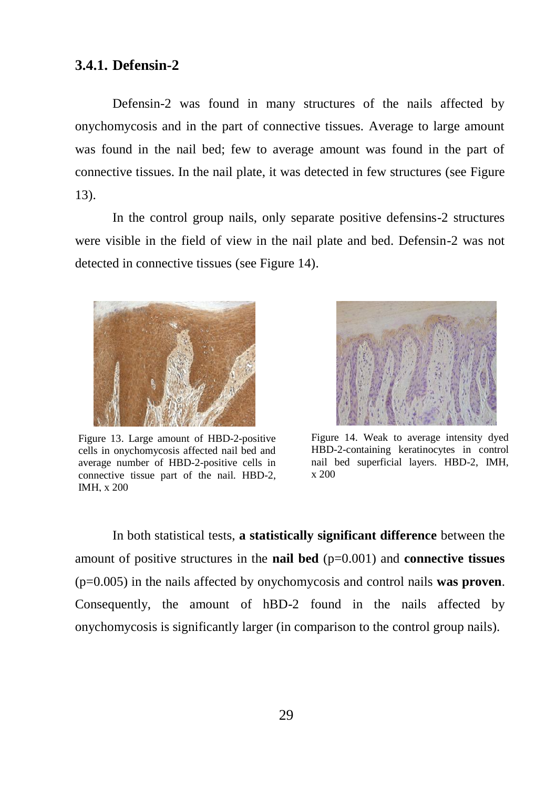#### <span id="page-29-0"></span>**3.4.1. Defensin-2**

Defensin-2 was found in many structures of the nails affected by onychomycosis and in the part of connective tissues. Average to large amount was found in the nail bed; few to average amount was found in the part of connective tissues. In the nail plate, it was detected in few structures (see Figure 13).

In the control group nails, only separate positive defensins-2 structures were visible in the field of view in the nail plate and bed. Defensin-2 was not detected in connective tissues (see Figure 14).



Figure 13. Large amount of HBD-2-positive cells in onychomycosis affected nail bed and average number of HBD-2-positive cells in connective tissue part of the nail. HBD-2, IMH, x 200



Figure 14. Weak to average intensity dyed HBD-2-containing keratinocytes in control nail bed superficial layers. HBD-2, IMH, x 200

In both statistical tests, **a statistically significant difference** between the amount of positive structures in the **nail bed** (p=0.001) and **connective tissues** (p=0.005) in the nails affected by onychomycosis and control nails **was proven**. Consequently, the amount of hBD-2 found in the nails affected by onychomycosis is significantly larger (in comparison to the control group nails).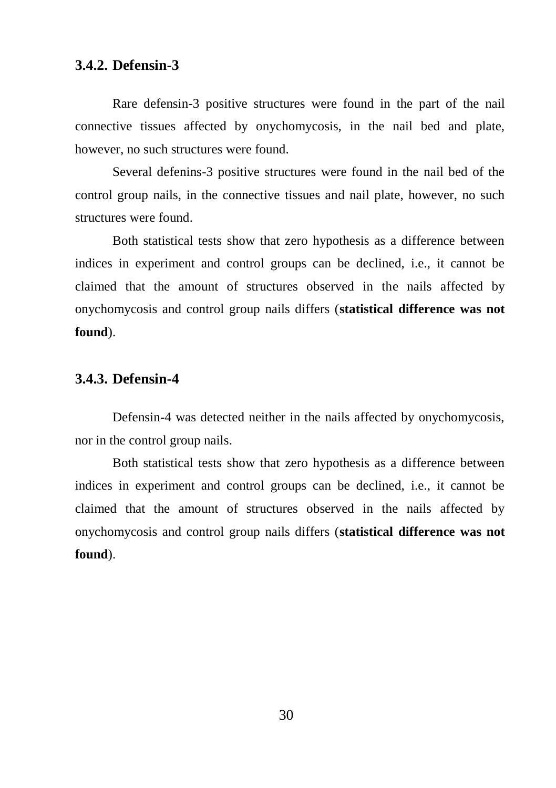## <span id="page-30-0"></span>**3.4.2. Defensin-3**

Rare defensin-3 positive structures were found in the part of the nail connective tissues affected by onychomycosis, in the nail bed and plate, however, no such structures were found.

Several defenins-3 positive structures were found in the nail bed of the control group nails, in the connective tissues and nail plate, however, no such structures were found.

Both statistical tests show that zero hypothesis as a difference between indices in experiment and control groups can be declined, i.e., it cannot be claimed that the amount of structures observed in the nails affected by onychomycosis and control group nails differs (**statistical difference was not found**).

#### <span id="page-30-1"></span>**3.4.3. Defensin-4**

Defensin-4 was detected neither in the nails affected by onychomycosis, nor in the control group nails.

Both statistical tests show that zero hypothesis as a difference between indices in experiment and control groups can be declined, i.e., it cannot be claimed that the amount of structures observed in the nails affected by onychomycosis and control group nails differs (**statistical difference was not found**).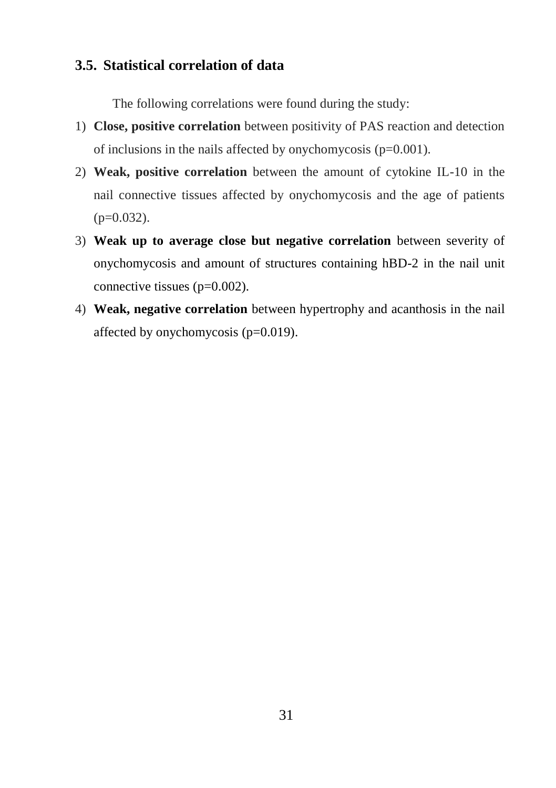# <span id="page-31-0"></span>**3.5. Statistical correlation of data**

The following correlations were found during the study:

- 1) **Close, positive correlation** between positivity of PAS reaction and detection of inclusions in the nails affected by onychomycosis  $(p=0.001)$ .
- 2) **Weak, positive correlation** between the amount of cytokine IL-10 in the nail connective tissues affected by onychomycosis and the age of patients  $(p=0.032)$ .
- 3) **Weak up to average close but negative correlation** between severity of onychomycosis and amount of structures containing hBD-2 in the nail unit connective tissues (p=0.002).
- 4) **Weak, negative correlation** between hypertrophy and acanthosis in the nail affected by onychomycosis (p=0.019).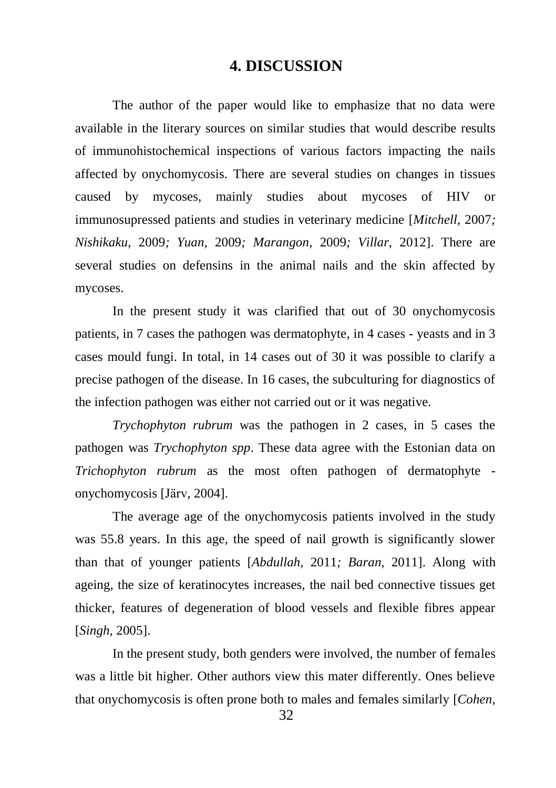## **4. DISCUSSION**

<span id="page-32-0"></span>The author of the paper would like to emphasize that no data were available in the literary sources on similar studies that would describe results of immunohistochemical inspections of various factors impacting the nails affected by onychomycosis. There are several studies on changes in tissues caused by mycoses, mainly studies about mycoses of HIV or immunosupressed patients and studies in veterinary medicine [*Mitchell,* 2007*; Nishikaku,* 2009*; Yuan,* 2009*; Marangon,* 2009*; Villar,* 2012]. There are several studies on defensins in the animal nails and the skin affected by mycoses.

In the present study it was clarified that out of 30 onychomycosis patients, in 7 cases the pathogen was dermatophyte, in 4 cases - yeasts and in 3 cases mould fungi. In total, in 14 cases out of 30 it was possible to clarify a precise pathogen of the disease. In 16 cases, the subculturing for diagnostics of the infection pathogen was either not carried out or it was negative.

*Trychophyton rubrum* was the pathogen in 2 cases, in 5 cases the pathogen was *Trychophyton spp*. These data agree with the Estonian data on *Trichophyton rubrum* as the most often pathogen of dermatophyte onychomycosis [\[Järv](http://www.ncbi.nlm.nih.gov/pubmed?term="J%C3%A4rv%20H"%5BAuthor%5D)*,* 2004].

The average age of the onychomycosis patients involved in the study was 55.8 years. In this age, the speed of nail growth is significantly slower than that of younger patients [*Abdullah,* 2011*; Baran,* 2011]. Along with ageing, the size of keratinocytes increases, the nail bed connective tissues get thicker, features of degeneration of blood vessels and flexible fibres appear [*Singh,* 2005].

In the present study, both genders were involved, the number of females was a little bit higher. Other authors view this mater differently. Ones believe that onychomycosis is often prone both to males and females similarly [*Cohen,*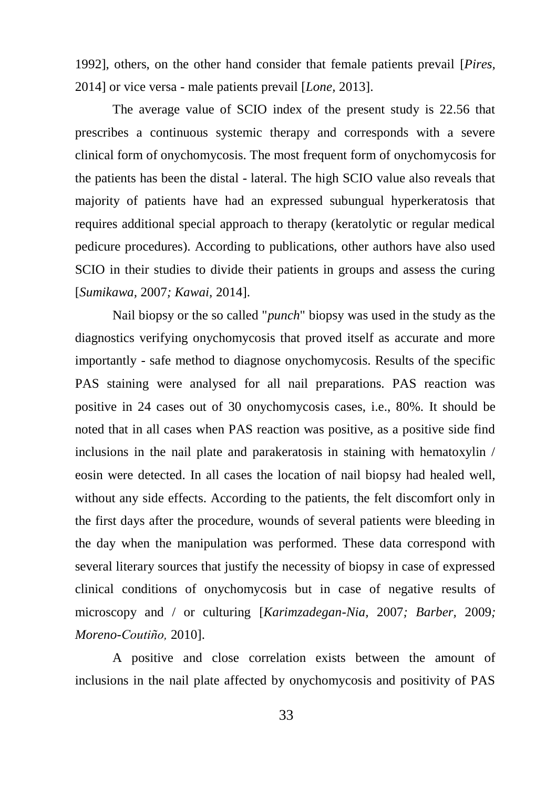1992], others, on the other hand consider that female patients prevail [*Pires,*  2014] or vice versa - male patients prevail [*Lone,* 2013].

The average value of SCIO index of the present study is 22.56 that prescribes a continuous systemic therapy and corresponds with a severe clinical form of onychomycosis. The most frequent form of onychomycosis for the patients has been the distal - lateral. The high SCIO value also reveals that majority of patients have had an expressed subungual hyperkeratosis that requires additional special approach to therapy (keratolytic or regular medical pedicure procedures). According to publications, other authors have also used SCIO in their studies to divide their patients in groups and assess the curing [*Sumikawa,* 2007*; Kawai,* 2014].

Nail biopsy or the so called "*punch*" biopsy was used in the study as the diagnostics verifying onychomycosis that proved itself as accurate and more importantly - safe method to diagnose onychomycosis. Results of the specific PAS staining were analysed for all nail preparations. PAS reaction was positive in 24 cases out of 30 onychomycosis cases, i.e., 80%. It should be noted that in all cases when PAS reaction was positive, as a positive side find inclusions in the nail plate and parakeratosis in staining with hematoxylin / eosin were detected. In all cases the location of nail biopsy had healed well, without any side effects. According to the patients, the felt discomfort only in the first days after the procedure, wounds of several patients were bleeding in the day when the manipulation was performed. These data correspond with several literary sources that justify the necessity of biopsy in case of expressed clinical conditions of onychomycosis but in case of negative results of microscopy and / or culturing [*Karimzadegan-Nia,* 2007*; Barber,* 2009*; Moreno-Coutiño,* 2010].

A positive and close correlation exists between the amount of inclusions in the nail plate affected by onychomycosis and positivity of PAS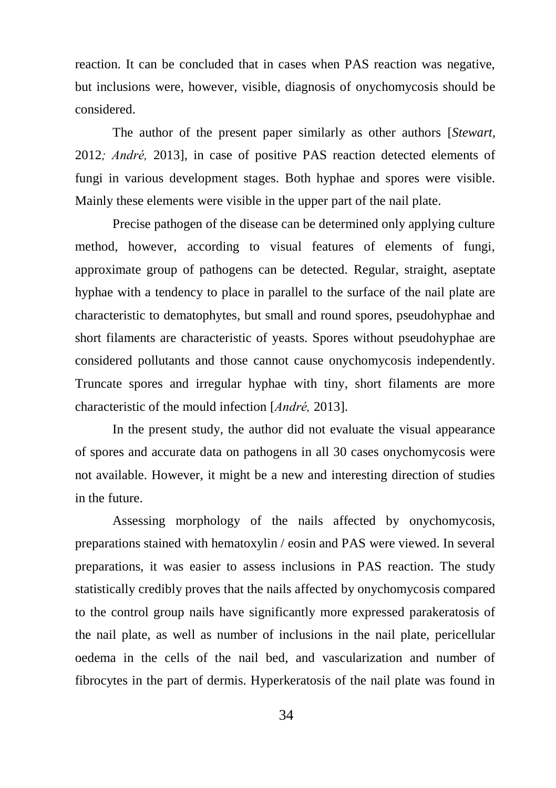reaction. It can be concluded that in cases when PAS reaction was negative, but inclusions were, however, visible, diagnosis of onychomycosis should be considered.

The author of the present paper similarly as other authors [*Stewart,*  2012*; André,* 2013], in case of positive PAS reaction detected elements of fungi in various development stages. Both hyphae and spores were visible. Mainly these elements were visible in the upper part of the nail plate.

Precise pathogen of the disease can be determined only applying culture method, however, according to visual features of elements of fungi, approximate group of pathogens can be detected. Regular, straight, aseptate hyphae with a tendency to place in parallel to the surface of the nail plate are characteristic to dematophytes, but small and round spores, pseudohyphae and short filaments are characteristic of yeasts. Spores without pseudohyphae are considered pollutants and those cannot cause onychomycosis independently. Truncate spores and irregular hyphae with tiny, short filaments are more characteristic of the mould infection [*André,* 2013].

In the present study, the author did not evaluate the visual appearance of spores and accurate data on pathogens in all 30 cases onychomycosis were not available. However, it might be a new and interesting direction of studies in the future.

Assessing morphology of the nails affected by onychomycosis, preparations stained with hematoxylin / eosin and PAS were viewed. In several preparations, it was easier to assess inclusions in PAS reaction. The study statistically credibly proves that the nails affected by onychomycosis compared to the control group nails have significantly more expressed parakeratosis of the nail plate, as well as number of inclusions in the nail plate, pericellular oedema in the cells of the nail bed, and vascularization and number of fibrocytes in the part of dermis. Hyperkeratosis of the nail plate was found in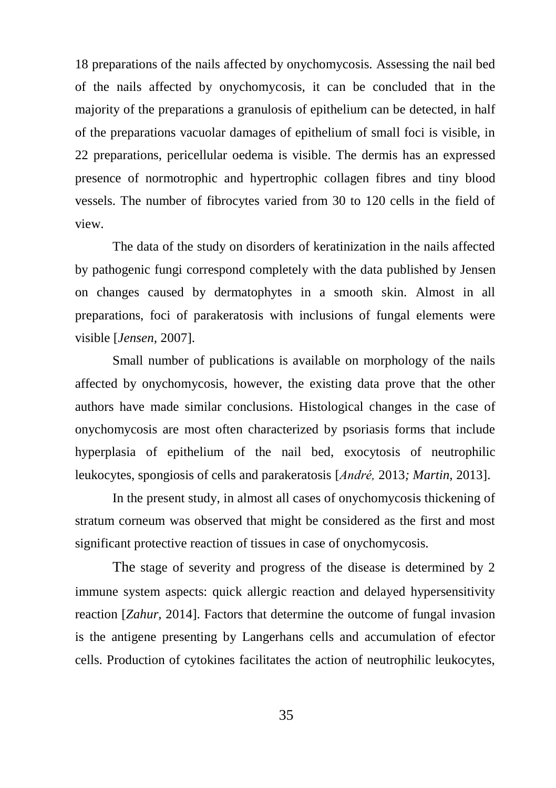18 preparations of the nails affected by onychomycosis. Assessing the nail bed of the nails affected by onychomycosis, it can be concluded that in the majority of the preparations a granulosis of epithelium can be detected, in half of the preparations vacuolar damages of epithelium of small foci is visible, in 22 preparations, pericellular oedema is visible. The dermis has an expressed presence of normotrophic and hypertrophic collagen fibres and tiny blood vessels. The number of fibrocytes varied from 30 to 120 cells in the field of view.

The data of the study on disorders of keratinization in the nails affected by pathogenic fungi correspond completely with the data published by Jensen on changes caused by dermatophytes in a smooth skin. Almost in all preparations, foci of parakeratosis with inclusions of fungal elements were visible [*Jensen,* 2007].

Small number of publications is available on morphology of the nails affected by onychomycosis, however, the existing data prove that the other authors have made similar conclusions. Histological changes in the case of onychomycosis are most often characterized by psoriasis forms that include hyperplasia of epithelium of the nail bed, exocytosis of neutrophilic leukocytes, spongiosis of cells and parakeratosis [*André,* 2013*; Martin,* 2013].

In the present study, in almost all cases of onychomycosis thickening of stratum corneum was observed that might be considered as the first and most significant protective reaction of tissues in case of onychomycosis.

The stage of severity and progress of the disease is determined by 2 immune system aspects: quick allergic reaction and delayed hypersensitivity reaction [*Zahur,* 2014]. Factors that determine the outcome of fungal invasion is the antigene presenting by Langerhans cells and accumulation of efector cells. Production of cytokines facilitates the action of neutrophilic leukocytes,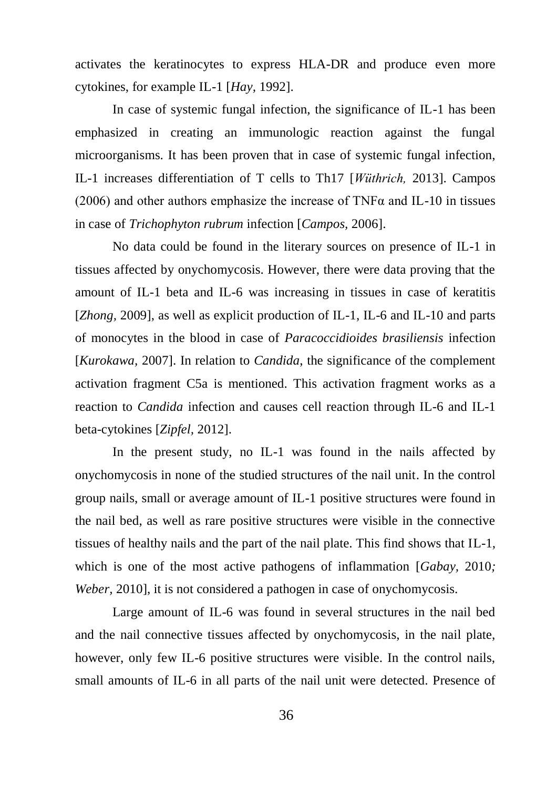activates the keratinocytes to express HLA-DR and produce even more cytokines, for example IL-1 [*Hay,* 1992].

In case of systemic fungal infection, the significance of IL-1 has been emphasized in creating an immunologic reaction against the fungal microorganisms. It has been proven that in case of systemic fungal infection, IL-1 increases differentiation of T cells to Th17 [*Wüthrich,* 2013]. Campos (2006) and other authors emphasize the increase of TNF $\alpha$  and IL-10 in tissues in case of *Trichophyton rubrum* infection [*Campos,* 2006].

No data could be found in the literary sources on presence of IL-1 in tissues affected by onychomycosis. However, there were data proving that the amount of IL-1 beta and IL-6 was increasing in tissues in case of keratitis [*Zhong,* 2009], as well as explicit production of IL-1, IL-6 and IL-10 and parts of monocytes in the blood in case of *Paracoccidioides brasiliensis* infection [*Kurokawa,* 2007]. In relation to *Candida*, the significance of the complement activation fragment C5a is mentioned. This activation fragment works as a reaction to *Candida* infection and causes cell reaction through IL-6 and IL-1 beta-cytokines [*Zipfel,* 2012].

In the present study, no IL-1 was found in the nails affected by onychomycosis in none of the studied structures of the nail unit. In the control group nails, small or average amount of IL-1 positive structures were found in the nail bed, as well as rare positive structures were visible in the connective tissues of healthy nails and the part of the nail plate. This find shows that IL-1, which is one of the most active pathogens of inflammation [*Gabay,* 2010*; Weber,* 2010], it is not considered a pathogen in case of onychomycosis.

Large amount of IL-6 was found in several structures in the nail bed and the nail connective tissues affected by onychomycosis, in the nail plate, however, only few IL-6 positive structures were visible. In the control nails, small amounts of IL-6 in all parts of the nail unit were detected. Presence of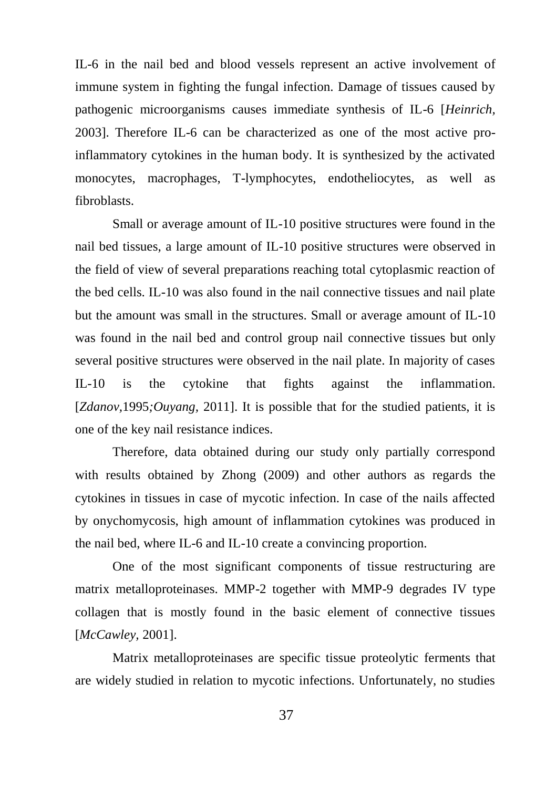IL-6 in the nail bed and blood vessels represent an active involvement of immune system in fighting the fungal infection. Damage of tissues caused by pathogenic microorganisms causes immediate synthesis of IL-6 [*Heinrich,*  2003]. Therefore IL-6 can be characterized as one of the most active proinflammatory cytokines in the human body. It is synthesized by the activated monocytes, macrophages, T-lymphocytes, endotheliocytes, as well as fibroblasts.

Small or average amount of IL-10 positive structures were found in the nail bed tissues, a large amount of IL-10 positive structures were observed in the field of view of several preparations reaching total cytoplasmic reaction of the bed cells. IL-10 was also found in the nail connective tissues and nail plate but the amount was small in the structures. Small or average amount of IL-10 was found in the nail bed and control group nail connective tissues but only several positive structures were observed in the nail plate. In majority of cases IL-10 is the cytokine that fights against the inflammation. [*Zdanov,*1995*;Ouyang,* 2011]. It is possible that for the studied patients, it is one of the key nail resistance indices.

Therefore, data obtained during our study only partially correspond with results obtained by Zhong (2009) and other authors as regards the cytokines in tissues in case of mycotic infection. In case of the nails affected by onychomycosis, high amount of inflammation cytokines was produced in the nail bed, where IL-6 and IL-10 create a convincing proportion.

One of the most significant components of tissue restructuring are matrix metalloproteinases. MMP-2 together with MMP-9 degrades IV type collagen that is mostly found in the basic element of connective tissues [*McCawley,* 2001].

Matrix metalloproteinases are specific tissue proteolytic ferments that are widely studied in relation to mycotic infections. Unfortunately, no studies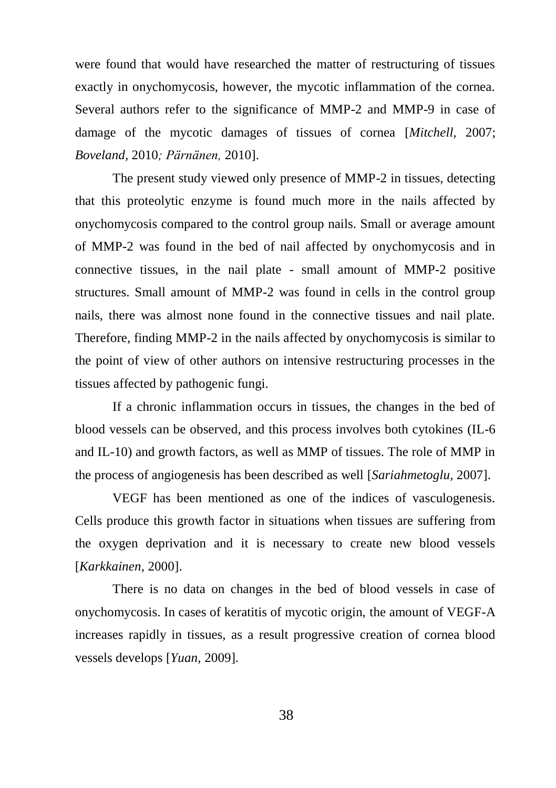were found that would have researched the matter of restructuring of tissues exactly in onychomycosis, however, the mycotic inflammation of the cornea. Several authors refer to the significance of MMP-2 and MMP-9 in case of damage of the mycotic damages of tissues of cornea [*Mitchell,* 2007; *Boveland,* 2010*; Pärnänen,* 2010].

The present study viewed only presence of MMP-2 in tissues, detecting that this proteolytic enzyme is found much more in the nails affected by onychomycosis compared to the control group nails. Small or average amount of MMP-2 was found in the bed of nail affected by onychomycosis and in connective tissues, in the nail plate - small amount of MMP-2 positive structures. Small amount of MMP-2 was found in cells in the control group nails, there was almost none found in the connective tissues and nail plate. Therefore, finding MMP-2 in the nails affected by onychomycosis is similar to the point of view of other authors on intensive restructuring processes in the tissues affected by pathogenic fungi.

If a chronic inflammation occurs in tissues, the changes in the bed of blood vessels can be observed, and this process involves both cytokines (IL-6 and IL-10) and growth factors, as well as MMP of tissues. The role of MMP in the process of angiogenesis has been described as well [*Sariahmetoglu,* 2007].

VEGF has been mentioned as one of the indices of vasculogenesis. Cells produce this growth factor in situations when tissues are suffering from the oxygen deprivation and it is necessary to create new blood vessels [*Karkkainen,* 2000].

There is no data on changes in the bed of blood vessels in case of onychomycosis. In cases of keratitis of mycotic origin, the amount of VEGF-A increases rapidly in tissues, as a result progressive creation of cornea blood vessels develops [*Yuan,* 2009].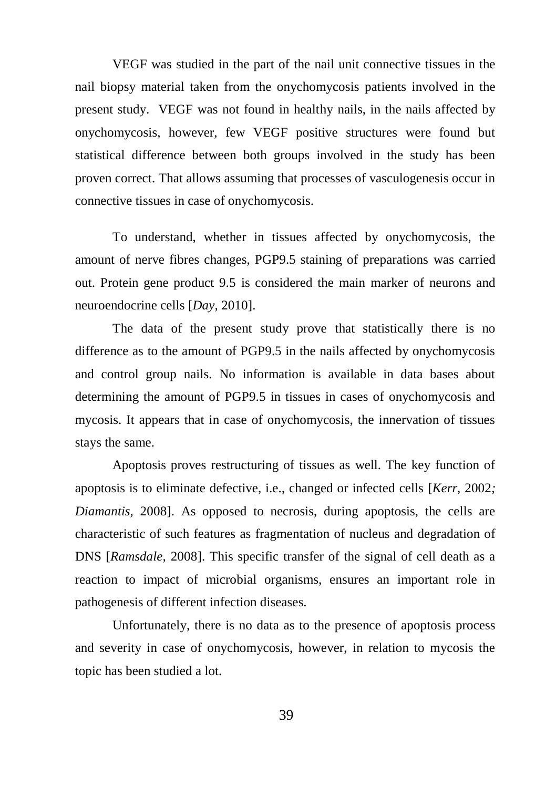VEGF was studied in the part of the nail unit connective tissues in the nail biopsy material taken from the onychomycosis patients involved in the present study. VEGF was not found in healthy nails, in the nails affected by onychomycosis, however, few VEGF positive structures were found but statistical difference between both groups involved in the study has been proven correct. That allows assuming that processes of vasculogenesis occur in connective tissues in case of onychomycosis.

To understand, whether in tissues affected by onychomycosis, the amount of nerve fibres changes, PGP9.5 staining of preparations was carried out. Protein gene product 9.5 is considered the main marker of neurons and neuroendocrine cells [*Day,* 2010].

The data of the present study prove that statistically there is no difference as to the amount of PGP9.5 in the nails affected by onychomycosis and control group nails. No information is available in data bases about determining the amount of PGP9.5 in tissues in cases of onychomycosis and mycosis. It appears that in case of onychomycosis, the innervation of tissues stays the same.

Apoptosis proves restructuring of tissues as well. The key function of apoptosis is to eliminate defective, i.e., changed or infected cells [*Kerr,* 2002*; Diamantis, 2008*]. As opposed to necrosis, during apoptosis, the cells are characteristic of such features as fragmentation of nucleus and degradation of DNS [*Ramsdale,* 2008]. This specific transfer of the signal of cell death as a reaction to impact of microbial organisms, ensures an important role in pathogenesis of different infection diseases.

Unfortunately, there is no data as to the presence of apoptosis process and severity in case of onychomycosis, however, in relation to mycosis the topic has been studied a lot.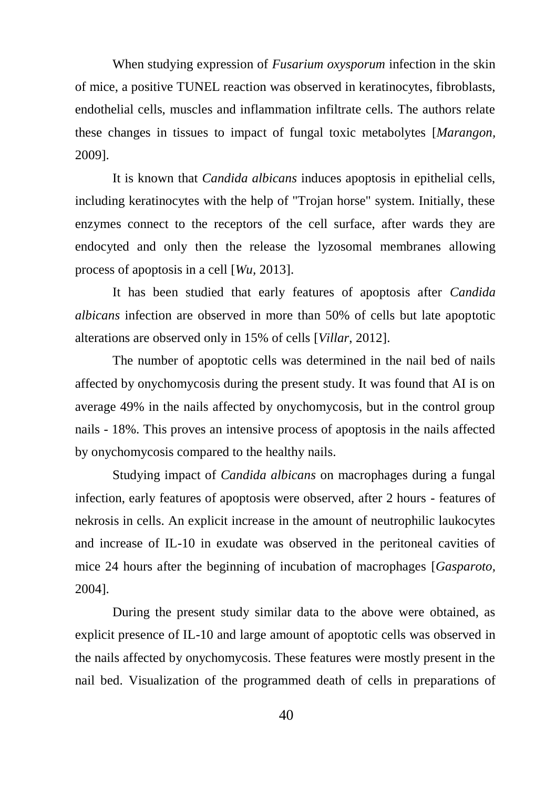When studying expression of *Fusarium oxysporum* infection in the skin of mice, a positive TUNEL reaction was observed in keratinocytes, fibroblasts, endothelial cells, muscles and inflammation infiltrate cells. The authors relate these changes in tissues to impact of fungal toxic metabolytes [*Marangon,*  2009].

It is known that *Candida albicans* induces apoptosis in epithelial cells, including keratinocytes with the help of "Trojan horse" system. Initially, these enzymes connect to the receptors of the cell surface, after wards they are endocyted and only then the release the lyzosomal membranes allowing process of apoptosis in a cell [*Wu,* 2013].

It has been studied that early features of apoptosis after *Candida albicans* infection are observed in more than 50% of cells but late apoptotic alterations are observed only in 15% of cells [*Villar*, 2012].

The number of apoptotic cells was determined in the nail bed of nails affected by onychomycosis during the present study. It was found that AI is on average 49% in the nails affected by onychomycosis, but in the control group nails - 18%. This proves an intensive process of apoptosis in the nails affected by onychomycosis compared to the healthy nails.

Studying impact of *Candida albicans* on macrophages during a fungal infection, early features of apoptosis were observed, after 2 hours - features of nekrosis in cells. An explicit increase in the amount of neutrophilic laukocytes and increase of IL-10 in exudate was observed in the peritoneal cavities of mice 24 hours after the beginning of incubation of macrophages [*Gasparoto,*  2004].

During the present study similar data to the above were obtained, as explicit presence of IL-10 and large amount of apoptotic cells was observed in the nails affected by onychomycosis. These features were mostly present in the nail bed. Visualization of the programmed death of cells in preparations of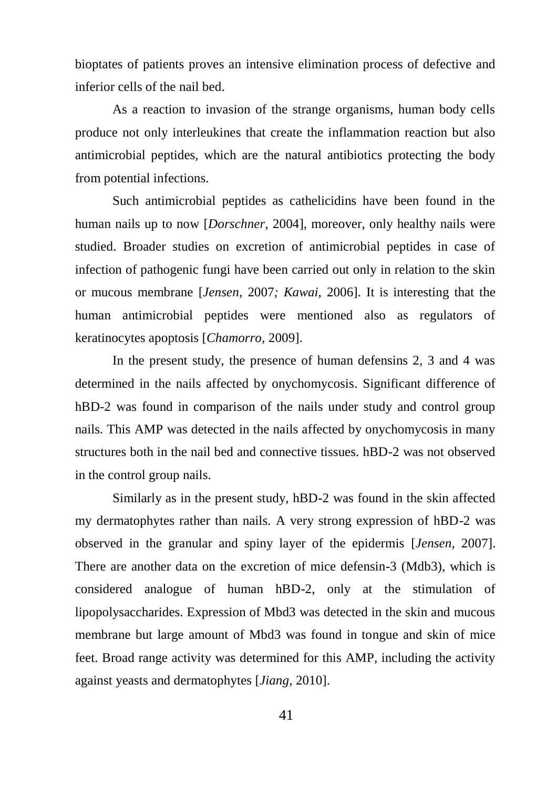bioptates of patients proves an intensive elimination process of defective and inferior cells of the nail bed.

As a reaction to invasion of the strange organisms, human body cells produce not only interleukines that create the inflammation reaction but also antimicrobial peptides, which are the natural antibiotics protecting the body from potential infections.

Such antimicrobial peptides as cathelicidins have been found in the human nails up to now [*Dorschner,* 2004], moreover, only healthy nails were studied. Broader studies on excretion of antimicrobial peptides in case of infection of pathogenic fungi have been carried out only in relation to the skin or mucous membrane [*Jensen,* 2007*; Kawai,* 2006]. It is interesting that the human antimicrobial peptides were mentioned also as regulators of keratinocytes apoptosis [*Chamorro,* 2009].

In the present study, the presence of human defensins 2, 3 and 4 was determined in the nails affected by onychomycosis. Significant difference of hBD-2 was found in comparison of the nails under study and control group nails. This AMP was detected in the nails affected by onychomycosis in many structures both in the nail bed and connective tissues. hBD-2 was not observed in the control group nails.

Similarly as in the present study, hBD-2 was found in the skin affected my dermatophytes rather than nails. A very strong expression of hBD-2 was observed in the granular and spiny layer of the epidermis [*Jensen,* 2007]. There are another data on the excretion of mice defensin-3 (Mdb3), which is considered analogue of human hBD-2, only at the stimulation of lipopolysaccharides. Expression of Mbd3 was detected in the skin and mucous membrane but large amount of Mbd3 was found in tongue and skin of mice feet. Broad range activity was determined for this AMP, including the activity against yeasts and dermatophytes [*Jiang,* 2010].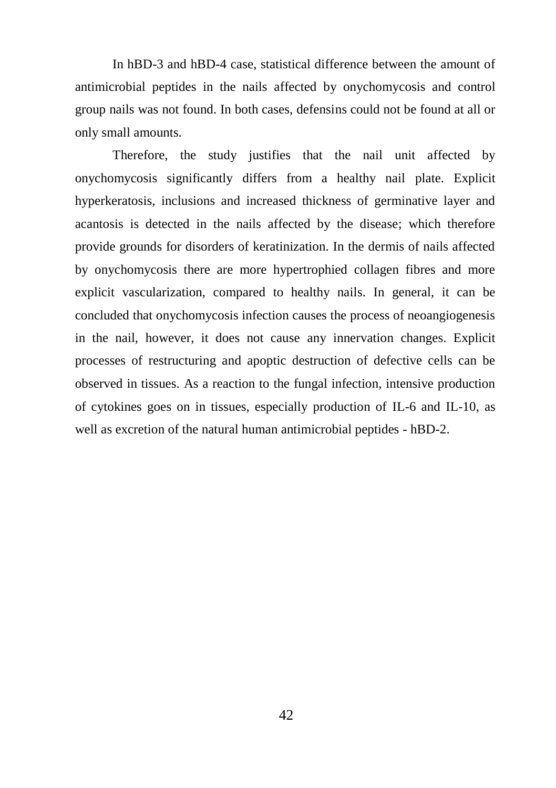In hBD-3 and hBD-4 case, statistical difference between the amount of antimicrobial peptides in the nails affected by onychomycosis and control group nails was not found. In both cases, defensins could not be found at all or only small amounts.

Therefore, the study justifies that the nail unit affected by onychomycosis significantly differs from a healthy nail plate. Explicit hyperkeratosis, inclusions and increased thickness of germinative layer and acantosis is detected in the nails affected by the disease; which therefore provide grounds for disorders of keratinization. In the dermis of nails affected by onychomycosis there are more hypertrophied collagen fibres and more explicit vascularization, compared to healthy nails. In general, it can be concluded that onychomycosis infection causes the process of neoangiogenesis in the nail, however, it does not cause any innervation changes. Explicit processes of restructuring and apoptic destruction of defective cells can be observed in tissues. As a reaction to the fungal infection, intensive production of cytokines goes on in tissues, especially production of IL-6 and IL-10, as well as excretion of the natural human antimicrobial peptides - hBD-2.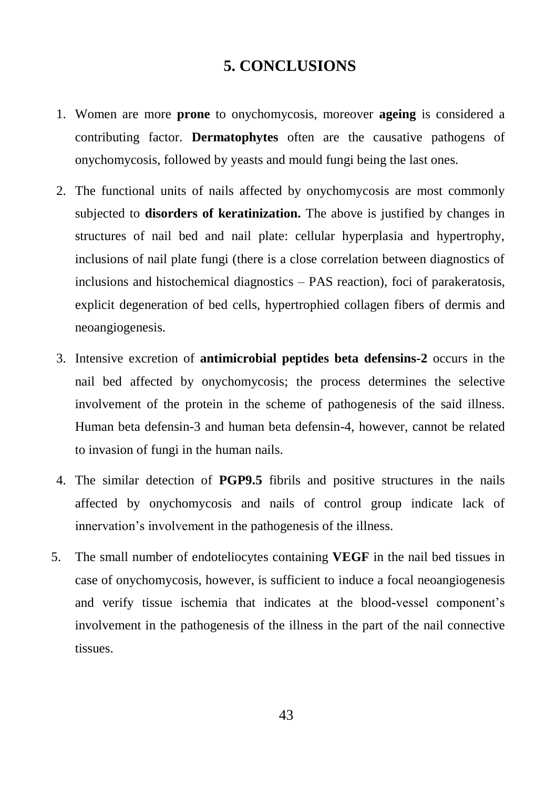# **5. CONCLUSIONS**

- <span id="page-43-0"></span>1. Women are more **prone** to onychomycosis, moreover **ageing** is considered a contributing factor. **Dermatophytes** often are the causative pathogens of onychomycosis, followed by yeasts and mould fungi being the last ones.
- 2. The functional units of nails affected by onychomycosis are most commonly subjected to **disorders of keratinization.** The above is justified by changes in structures of nail bed and nail plate: cellular hyperplasia and hypertrophy, inclusions of nail plate fungi (there is a close correlation between diagnostics of inclusions and histochemical diagnostics – PAS reaction), foci of parakeratosis, explicit degeneration of bed cells, hypertrophied collagen fibers of dermis and neoangiogenesis.
- 3. Intensive excretion of **antimicrobial peptides beta defensins-2** occurs in the nail bed affected by onychomycosis; the process determines the selective involvement of the protein in the scheme of pathogenesis of the said illness. Human beta defensin-3 and human beta defensin-4, however, cannot be related to invasion of fungi in the human nails.
- 4. The similar detection of **PGP9.5** fibrils and positive structures in the nails affected by onychomycosis and nails of control group indicate lack of innervation's involvement in the pathogenesis of the illness.
- 5. The small number of endoteliocytes containing **VEGF** in the nail bed tissues in case of onychomycosis, however, is sufficient to induce a focal neoangiogenesis and verify tissue ischemia that indicates at the blood-vessel component's involvement in the pathogenesis of the illness in the part of the nail connective tissues.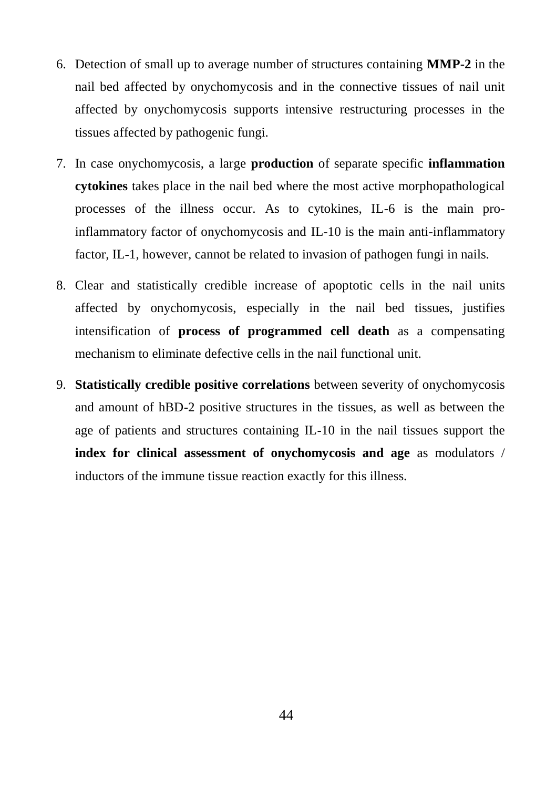- 6. Detection of small up to average number of structures containing **MMP-2** in the nail bed affected by onychomycosis and in the connective tissues of nail unit affected by onychomycosis supports intensive restructuring processes in the tissues affected by pathogenic fungi.
- 7. In case onychomycosis, a large **production** of separate specific **inflammation cytokines** takes place in the nail bed where the most active morphopathological processes of the illness occur. As to cytokines, IL-6 is the main proinflammatory factor of onychomycosis and IL-10 is the main anti-inflammatory factor, IL-1, however, cannot be related to invasion of pathogen fungi in nails.
- 8. Clear and statistically credible increase of apoptotic cells in the nail units affected by onychomycosis, especially in the nail bed tissues, justifies intensification of **process of programmed cell death** as a compensating mechanism to eliminate defective cells in the nail functional unit.
- 9. **Statistically credible positive correlations** between severity of onychomycosis and amount of hBD-2 positive structures in the tissues, as well as between the age of patients and structures containing IL-10 in the nail tissues support the **index for clinical assessment of onychomycosis and age** as modulators / inductors of the immune tissue reaction exactly for this illness.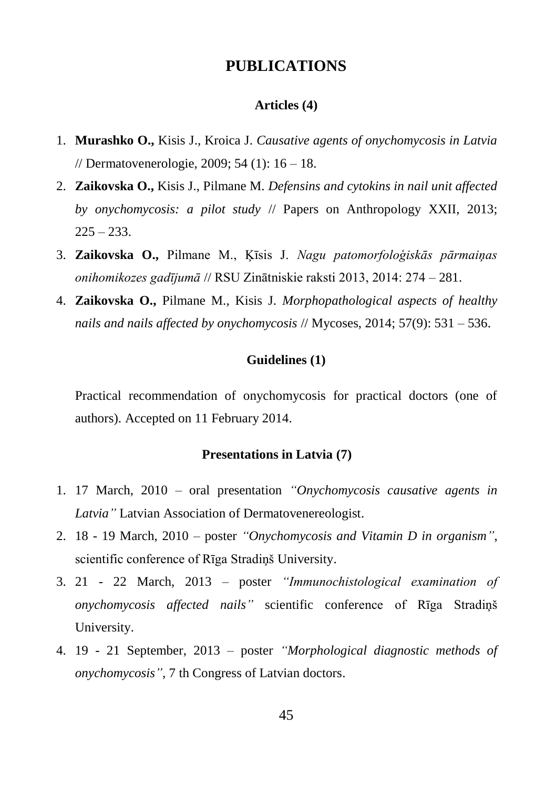# **PUBLICATIONS**

#### **Articles (4)**

- 1. **Murashko O.,** Kisis J., Kroica J. *Causative agents of onychomycosis in Latvia* // Dermatovenerologie, 2009; 54 (1): 16 – 18.
- 2. **Zaikovska O.,** Kisis J., Pilmane M. *Defensins and cytokins in nail unit affected by onychomycosis: a pilot study* // Papers on Anthropology XXII, 2013;  $225 - 233.$
- 3. **Zaikovska O.,** Pilmane M., Ķīsis J. *Nagu patomorfoloģiskās pārmaiņas onihomikozes gadījumā* // RSU Zinātniskie raksti 2013, 2014: 274 – 281.
- 4. **Zaikovska O.,** Pilmane M., Kisis J. *Morphopathological aspects of healthy nails and nails affected by onychomycosis* // [Mycoses,](http://www.ncbi.nlm.nih.gov/pubmed/?term=Zaikovska%2C+O.%2C+Pilmane%2C+M.+and+Kisis%2C+J.+(2014)%2C+Morphopathological+aspects+of+healthy+nails+and+nails+affected+by+onychomycosis.+Mycoses%2C+57%3A+531%E2%80%93536.) 2014; 57(9): 531 – 536.

#### **Guidelines (1)**

Practical recommendation of onychomycosis for practical doctors (one of authors). Accepted on 11 February 2014.

#### **Presentations in Latvia (7)**

- 1. 17 March, 2010 oral presentation *"Onychomycosis causative agents in Latvia"* Latvian Association of Dermatovenereologist.
- 2. 18 19 March, 2010 poster *"Onychomycosis and Vitamin D in organism"*, scientific conference of Rīga Stradiņš University.
- 3. 21 22 March, 2013 poster *"Immunochistological examination of onychomycosis affected nails"* scientific conference of Rīga Stradiņš University.
- 4. 19 21 September, 2013 poster *"Morphological diagnostic methods of onychomycosis"*, 7 th Congress of Latvian doctors.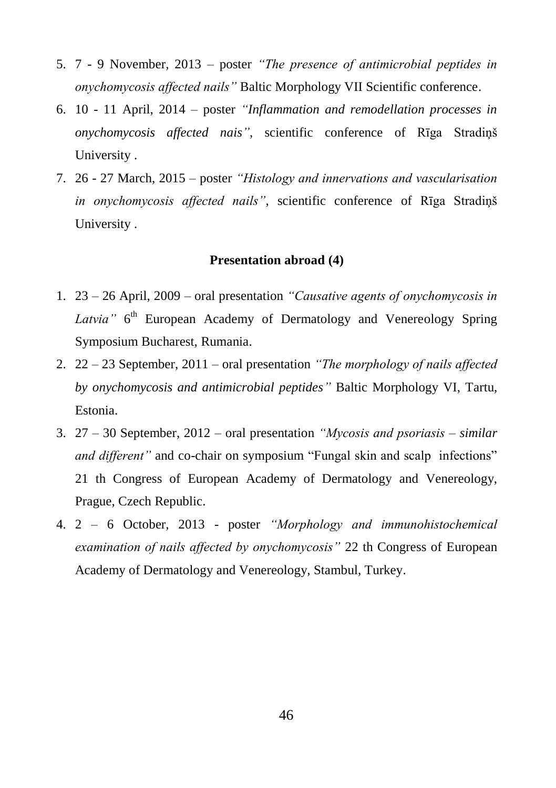- 5. 7 9 November, 2013 poster *"The presence of antimicrobial peptides in onychomycosis affected nails"* Baltic Morphology VII Scientific conference.
- 6. 10 11 April, 2014 poster *"Inflammation and remodellation processes in onychomycosis affected nais"*, scientific conference of Rīga Stradiņš University .
- 7. 26 27 March, 2015 poster *"Histology and innervations and vascularisation in onychomycosis affected nails"*, scientific conference of Rīga Stradiņš University .

#### **Presentation abroad (4)**

- 1. 23 26 April, 2009 oral presentation *"Causative agents of onychomycosis in*  Latvia" 6<sup>th</sup> European Academy of Dermatology and Venereology Spring Symposium Bucharest, Rumania.
- 2. 22 23 September, 2011 oral presentation *"The morphology of nails affected by onychomycosis and antimicrobial peptides"* Baltic Morphology VI, Tartu, Estonia.
- 3. 27 30 September, 2012 oral presentation *"Mycosis and psoriasis – similar and different*" and co-chair on symposium "Fungal skin and scalp infections" 21 th Congress of European Academy of Dermatology and Venereology, Prague, Czech Republic.
- 4. 2 6 October, 2013 poster *"Morphology and immunohistochemical examination of nails affected by onychomycosis"* 22 th Congress of European Academy of Dermatology and Venereology, Stambul, Turkey.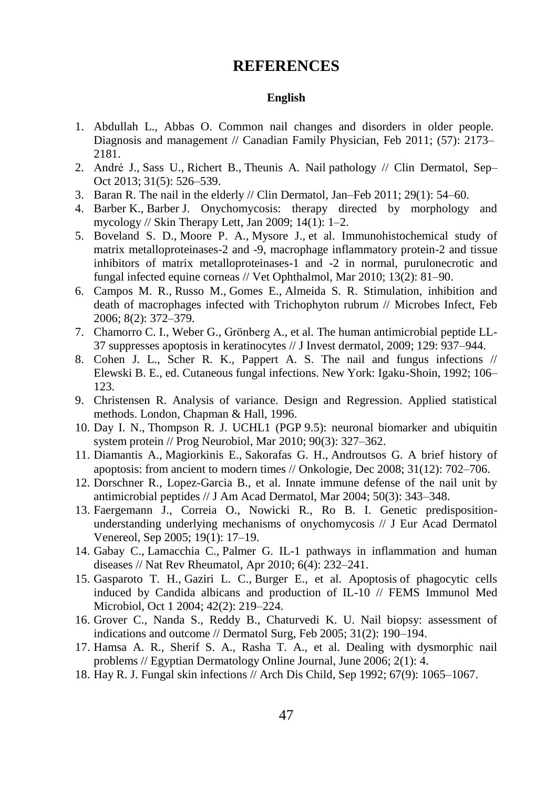#### **REFERENCES**

#### **English**

- <span id="page-47-0"></span>1. Abdullah L., Abbas O. Common nail changes and disorders in older people. Diagnosis and management // Canadian Family Physician, Feb 2011; (57): 2173– 2181.
- 2. [André J.](http://www.ncbi.nlm.nih.gov/pubmed?term=Andr%C3%A9%20J%5BAuthor%5D&cauthor=true&cauthor_uid=24079581), [Sass U.,](http://www.ncbi.nlm.nih.gov/pubmed?term=Sass%20U%5BAuthor%5D&cauthor=true&cauthor_uid=24079581) [Richert B.](http://www.ncbi.nlm.nih.gov/pubmed?term=Richert%20B%5BAuthor%5D&cauthor=true&cauthor_uid=24079581), [Theunis A.](http://www.ncbi.nlm.nih.gov/pubmed?term=Theunis%20A%5BAuthor%5D&cauthor=true&cauthor_uid=24079581) Nail pathology // [Clin Dermatol,](http://www.ncbi.nlm.nih.gov/pubmed/24079581) Sep– Oct 2013; 31(5): 526–539.
- 3. [Baran R.](http://www.ncbi.nlm.nih.gov/pubmed?term=Baran%20R%5BAuthor%5D&cauthor=true&cauthor_uid=21146733) The nail in the elderly // [Clin Dermatol,](http://www.ncbi.nlm.nih.gov/pubmed/21146733) Jan–Feb 2011; 29(1): 54–60.
- 4. [Barber](http://www.ncbi.nlm.nih.gov/pubmed?term=Barber%20K%5BAuthor%5D&cauthor=true&cauthor_uid=19214354) K., [Barber](http://www.ncbi.nlm.nih.gov/pubmed?term=Barber%20J%5BAuthor%5D&cauthor=true&cauthor_uid=19214354) J. Onychomycosis: therapy directed by morphology and mycology // Skin Therapy Lett. Jan 2009:  $14(1)$ : 1–2.
- 5. [Boveland S. D.](http://www.ncbi.nlm.nih.gov/pubmed?term=Boveland%20SD%5BAuthor%5D&cauthor=true&cauthor_uid=20447025), [Moore P. A.,](http://www.ncbi.nlm.nih.gov/pubmed?term=Moore%20PA%5BAuthor%5D&cauthor=true&cauthor_uid=20447025) [Mysore J.,](http://www.ncbi.nlm.nih.gov/pubmed?term=Mysore%20J%5BAuthor%5D&cauthor=true&cauthor_uid=20447025) et al. Immunohistochemical study of matrix metalloproteinases-2 and -9, macrophage inflammatory protein-2 and tissue inhibitors of matrix metalloproteinases-1 and -2 in normal, purulonecrotic and fungal infected equine corneas /[/ Vet Ophthalmol,](http://www.ncbi.nlm.nih.gov/pubmed/20447025) Mar 2010; 13(2): 81–90.
- 6. [Campos M. R.,](http://www.ncbi.nlm.nih.gov/pubmed?term=Campos%20MR%5BAuthor%5D&cauthor=true&cauthor_uid=16293438) [Russo M.,](http://www.ncbi.nlm.nih.gov/pubmed?term=Russo%20M%5BAuthor%5D&cauthor=true&cauthor_uid=16293438) [Gomes E.,](http://www.ncbi.nlm.nih.gov/pubmed?term=Gomes%20E%5BAuthor%5D&cauthor=true&cauthor_uid=16293438) [Almeida S. R.](http://www.ncbi.nlm.nih.gov/pubmed?term=Almeida%20SR%5BAuthor%5D&cauthor=true&cauthor_uid=16293438) Stimulation, inhibition and death of macrophages infected with Trichophyton rubrum // [Microbes Infect,](http://www.ncbi.nlm.nih.gov/pubmed/?term=IL-12+and+onychomycosis) Feb 2006; 8(2): 372–379.
- 7. [Chamorro C. I.,](http://www.ncbi.nlm.nih.gov/pubmed?term=Chamorro%20CI%5BAuthor%5D&cauthor=true&cauthor_uid=18923446) [Weber G.,](http://www.ncbi.nlm.nih.gov/pubmed?term=Weber%20G%5BAuthor%5D&cauthor=true&cauthor_uid=18923446) [Grönberg A.,](http://www.ncbi.nlm.nih.gov/pubmed?term=Gr%C3%B6nberg%20A%5BAuthor%5D&cauthor=true&cauthor_uid=18923446) et al. The human antimicrobial peptide LL-37 suppresses apoptosis in keratinocytes // J Invest dermatol, 2009; 129: 937–944.
- 8. Cohen J. L., Scher R. K., Pappert A. S. The nail and fungus infections // Elewski B. E., ed. Cutaneous fungal infections. New York: Igaku-Shoin, 1992; 106– 123.
- 9. Christensen R. Analysis of variance. Design and Regression. Applied statistical methods. London, Chapman & Hall, 1996.
- 10. [Day I.](http://www.ncbi.nlm.nih.gov/pubmed?term=Day%20IN%5BAuthor%5D&cauthor=true&cauthor_uid=19879917) N., [Thompson R. J.](http://www.ncbi.nlm.nih.gov/pubmed?term=Thompson%20RJ%5BAuthor%5D&cauthor=true&cauthor_uid=19879917) UCHL1 (PGP 9.5): neuronal biomarker and ubiquitin system protein // [Prog Neurobiol,](http://www.ncbi.nlm.nih.gov/pubmed/19879917) Mar 2010; 90(3): 327–362.
- 11. [Diamantis A.](http://www.ncbi.nlm.nih.gov/pubmed?term=Diamantis%20A%5BAuthor%5D&cauthor=true&cauthor_uid=19060510), [Magiorkinis E.,](http://www.ncbi.nlm.nih.gov/pubmed?term=Magiorkinis%20E%5BAuthor%5D&cauthor=true&cauthor_uid=19060510) [Sakorafas G. H.,](http://www.ncbi.nlm.nih.gov/pubmed?term=Sakorafas%20GH%5BAuthor%5D&cauthor=true&cauthor_uid=19060510) [Androutsos G.](http://www.ncbi.nlm.nih.gov/pubmed?term=Androutsos%20G%5BAuthor%5D&cauthor=true&cauthor_uid=19060510) A brief history of apoptosis: from ancient to modern times /[/ Onkologie,](http://www.ncbi.nlm.nih.gov/pubmed/19060510) Dec 2008; 31(12): 702–706.
- 12. [Dorschner R.](http://www.ncbi.nlm.nih.gov/pubmed?term=%22Dorschner%20RA%22%5BAuthor%5D), [Lopez-Garcia B.](http://www.ncbi.nlm.nih.gov/pubmed?term=%22Lopez-Garcia%20B%22%5BAuthor%5D), et al. Innate immune defense of the nail unit by antimicrobial peptides // J Am Acad Dermatol, Mar 2004; 50(3): 343–348.
- 13. [Faergemann J.,](http://www.ncbi.nlm.nih.gov/pubmed?term=%22Faergemann%20J%22%5BAuthor%5D) [Correia O.](http://www.ncbi.nlm.nih.gov/pubmed?term=%22Correia%20O%22%5BAuthor%5D), [Nowicki R.,](http://www.ncbi.nlm.nih.gov/pubmed?term=%22Nowicki%20R%22%5BAuthor%5D) Ro B. I. Genetic predispositionunderstanding underlying mechanisms of onychomycosis // J Eur Acad Dermatol Venereol, Sep 2005; 19(1): 17–19.
- 14. [Gabay C.,](http://www.ncbi.nlm.nih.gov/pubmed?term=Gabay%20C%5BAuthor%5D&cauthor=true&cauthor_uid=20177398) [Lamacchia C.,](http://www.ncbi.nlm.nih.gov/pubmed?term=Lamacchia%20C%5BAuthor%5D&cauthor=true&cauthor_uid=20177398) [Palmer G.](http://www.ncbi.nlm.nih.gov/pubmed?term=Palmer%20G%5BAuthor%5D&cauthor=true&cauthor_uid=20177398) IL-1 pathways in inflammation and human diseases // [Nat Rev Rheumatol,](http://www.ncbi.nlm.nih.gov/pubmed/?term=IL-1+pathway+in+inflammation+and+huiman+deseases%2C+Gabay%2C+2010) Apr 2010; 6(4): 232–241.
- 15. [Gasparoto T. H.,](http://www.ncbi.nlm.nih.gov/pubmed?term=Gasparoto%20TH%5BAuthor%5D&cauthor=true&cauthor_uid=15364107) [Gaziri L. C.,](http://www.ncbi.nlm.nih.gov/pubmed?term=Gaziri%20LC%5BAuthor%5D&cauthor=true&cauthor_uid=15364107) [Burger E.](http://www.ncbi.nlm.nih.gov/pubmed?term=Burger%20E%5BAuthor%5D&cauthor=true&cauthor_uid=15364107), et al. Apoptosis of phagocytic cells induced by Candida albicans and production of IL-10 // [FEMS Immunol Med](http://www.ncbi.nlm.nih.gov/pubmed/15364107)  [Microbiol,](http://www.ncbi.nlm.nih.gov/pubmed/15364107) Oct 1 2004; 42(2): 219–224.
- 16. [Grover C.,](http://www.ncbi.nlm.nih.gov/pubmed?term=%22Grover%20C%22%5BAuthor%5D) [Nanda S.](http://www.ncbi.nlm.nih.gov/pubmed?term=%22Nanda%20S%22%5BAuthor%5D), [Reddy B.](http://www.ncbi.nlm.nih.gov/pubmed?term=%22Reddy%20BS%22%5BAuthor%5D), Chaturvedi K. U. Nail biopsy: assessment of indications and outcome // Dermatol Surg, Feb 2005; 31(2): 190–194.
- 17. Hamsa A. R., Sherif S. A., Rasha T. A., et al. Dealing with dysmorphic nail problems // Egyptian Dermatology Online Journal, June 2006; 2(1): 4.
- 18. Hay [R. J.](http://www.ncbi.nlm.nih.gov/pubmed?term=Hay%20RJ%5BAuthor%5D&cauthor=true&cauthor_uid=1417045) Fungal skin infections // [Arch Dis Child,](http://www.ncbi.nlm.nih.gov/pubmed/1417045) Sep 1992; 67(9): 1065–1067.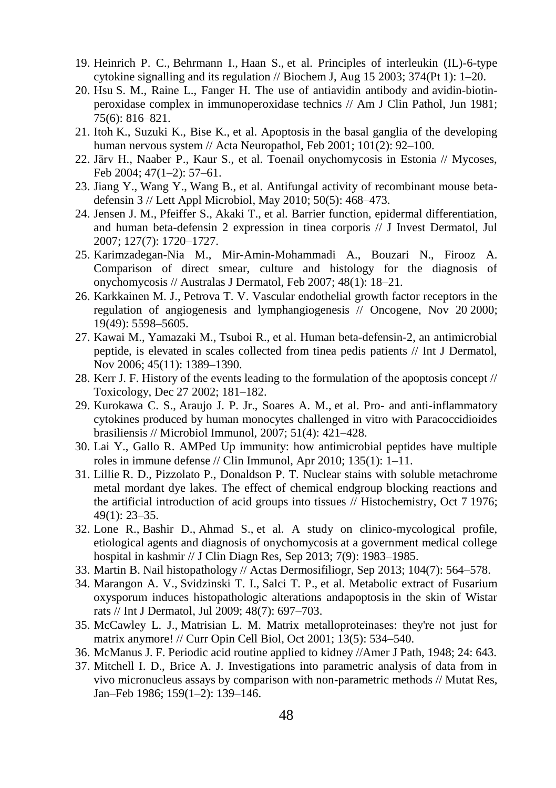- 19. [Heinrich P. C.](http://www.ncbi.nlm.nih.gov/pubmed?term=Heinrich%20PC%5BAuthor%5D&cauthor=true&cauthor_uid=12773095), [Behrmann I.](http://www.ncbi.nlm.nih.gov/pubmed?term=Behrmann%20I%5BAuthor%5D&cauthor=true&cauthor_uid=12773095), [Haan S.](http://www.ncbi.nlm.nih.gov/pubmed?term=Haan%20S%5BAuthor%5D&cauthor=true&cauthor_uid=12773095), et al. Principles of interleukin (IL)-6-type cytokine signalling and its regulation // [Biochem J,](http://www.ncbi.nlm.nih.gov/pubmed/?term=Heinrich+P%2C+Behrmann+I%2C+Haan+S.+et+al.+Principles+of+interleukin+(IL)-6-type+cytokine+signalling+and+its+regulation%2F%2F+Biochem+J%2C+2003+Aug+15%3B+374(1)%3A+1-20) Aug 15 2003; 374(Pt 1):  $1-20$ .
- 20. Hsu S. M., Raine L., Fanger H. [The use of antiavidin antibody and](http://www.ncbi.nlm.nih.gov/pubmed/6167159) avidin-biotin[peroxidase complex in immunoperoxidase technics](http://www.ncbi.nlm.nih.gov/pubmed/6167159) // Am J Clin Pathol, Jun 1981; 75(6): 816–821.
- 21. Itoh K., Suzuki K., Bise K., et al. Apoptosis [in the basal ganglia of the developing](http://www.ncbi.nlm.nih.gov/pubmed/11271378)  [human nervous system](http://www.ncbi.nlm.nih.gov/pubmed/11271378) // Acta Neuropathol, Feb 2001; 101(2): 92–100.
- 22. [Järv H.,](http://www.ncbi.nlm.nih.gov/pubmed?term=%22J%C3%A4rv%20H%22%5BAuthor%5D) [Naaber P.](http://www.ncbi.nlm.nih.gov/pubmed?term=%22Naaber%20P%22%5BAuthor%5D), [Kaur S.](http://www.ncbi.nlm.nih.gov/pubmed?term=%22Kaur%20S%22%5BAuthor%5D), et al. Toenail onychomycosis in Estonia // Mycoses, Feb 2004; 47(1–2): 57–61.
- 23. [Jiang Y.](http://www.ncbi.nlm.nih.gov/pubmed?term=Jiang%20Y%5BAuthor%5D&cauthor=true&cauthor_uid=20337925), [Wang Y.](http://www.ncbi.nlm.nih.gov/pubmed?term=Wang%20Y%5BAuthor%5D&cauthor=true&cauthor_uid=20337925), [Wang B.](http://www.ncbi.nlm.nih.gov/pubmed?term=Wang%20B%5BAuthor%5D&cauthor=true&cauthor_uid=20337925), et al. Antifungal activity of recombinant mouse betadefensin 3 /[/ Lett Appl Microbiol,](http://www.ncbi.nlm.nih.gov/pubmed/?term=Jiang+and+2010+defensin+3) May 2010; 50(5): 468–473.
- 24. [Jensen J. M.](http://www.ncbi.nlm.nih.gov/pubmed?term=Jensen%20JM%5BAuthor%5D&cauthor=true&cauthor_uid=17392834), [Pfeiffer S.](http://www.ncbi.nlm.nih.gov/pubmed?term=Pfeiffer%20S%5BAuthor%5D&cauthor=true&cauthor_uid=17392834), [Akaki T.](http://www.ncbi.nlm.nih.gov/pubmed?term=Akaki%20T%5BAuthor%5D&cauthor=true&cauthor_uid=17392834), et al. Barrier function, epidermal differentiation, and human beta-defensin 2 expression in tinea corporis // J Invest Dermatol, Jul 2007; 127(7): 1720–1727.
- 25. [Karimzadegan-Nia M.](http://www.ncbi.nlm.nih.gov/pubmed?term=Karimzadegan-Nia%20M%5BAuthor%5D&cauthor=true&cauthor_uid=17222296), [Mir-Amin-Mohammadi A.](http://www.ncbi.nlm.nih.gov/pubmed?term=Mir-Amin-Mohammadi%20A%5BAuthor%5D&cauthor=true&cauthor_uid=17222296), [Bouzari N.](http://www.ncbi.nlm.nih.gov/pubmed?term=Bouzari%20N%5BAuthor%5D&cauthor=true&cauthor_uid=17222296), [Firooz A.](http://www.ncbi.nlm.nih.gov/pubmed?term=Firooz%20A%5BAuthor%5D&cauthor=true&cauthor_uid=17222296)  Comparison of direct smear, culture and histology for the diagnosis of onychomycosis // Australas J Dermatol, Feb 2007; 48(1): 18–21.
- 26. [Karkkainen M. J.](http://www.ncbi.nlm.nih.gov/pubmed?term=Karkkainen%20MJ%5BAuthor%5D&cauthor=true&cauthor_uid=11114740), [Petrova T. V.](http://www.ncbi.nlm.nih.gov/pubmed?term=Petrova%20TV%5BAuthor%5D&cauthor=true&cauthor_uid=11114740) Vascular endothelial growth factor receptors in the regulation of angiogenesis and lymphangiogenesis // [Oncogene,](http://www.ncbi.nlm.nih.gov/pubmed/11114740) Nov 20 2000; 19(49): 5598–5605.
- 27. [Kawai M.](http://www.ncbi.nlm.nih.gov/pubmed?term=Kawai%20M%5BAuthor%5D&cauthor=true&cauthor_uid=17076742), [Yamazaki M.](http://www.ncbi.nlm.nih.gov/pubmed?term=Yamazaki%20M%5BAuthor%5D&cauthor=true&cauthor_uid=17076742), [Tsuboi R.,](http://www.ncbi.nlm.nih.gov/pubmed?term=Tsuboi%20R%5BAuthor%5D&cauthor=true&cauthor_uid=17076742) et al. Human beta-defensin-2, an antimicrobial peptide, is elevated in scales collected from tinea pedis patients // Int J Dermatol, Nov 2006; 45(11): 1389–1390.
- 28. [Kerr](http://www.ncbi.nlm.nih.gov/pubmed?term=Kerr%20JF%5BAuthor%5D&cauthor=true&cauthor_uid=12505355) J. F. History of the events leading to the formulation of the apoptosis concept // [Toxicology,](http://www.ncbi.nlm.nih.gov/pubmed/12505355) Dec 27 2002; 181–182.
- 29. [Kurokawa C. S.,](http://www.ncbi.nlm.nih.gov/pubmed?term=Kurokawa%20CS%5BAuthor%5D&cauthor=true&cauthor_uid=17446681) [Araujo J. P. Jr.](http://www.ncbi.nlm.nih.gov/pubmed?term=Araujo%20JP%20Jr%5BAuthor%5D&cauthor=true&cauthor_uid=17446681), [Soares A. M.](http://www.ncbi.nlm.nih.gov/pubmed?term=Soares%20AM%5BAuthor%5D&cauthor=true&cauthor_uid=17446681), et al. Pro- and anti-inflammatory cytokines produced by human monocytes challenged in vitro with Paracoccidioides brasiliensis // [Microbiol Immunol,](http://www.ncbi.nlm.nih.gov/pubmed/17446681) 2007; 51(4): 421–428.
- 30. Lai Y., Gallo R. AMPed Up immunity: how antimicrobial peptides have multiple roles in immune defense // Clin Immunol, Apr 2010; 135(1): 1–11.
- 31. Lillie R. D., Pizzolato P., Donaldson P. T. [Nuclear stains with soluble metachrome](http://www.ncbi.nlm.nih.gov/pubmed/62734)  [metal mordant dye lakes. The effect of chemical endgroup blocking reactions and](http://www.ncbi.nlm.nih.gov/pubmed/62734)  [the artificial introduction of acid groups into tissues](http://www.ncbi.nlm.nih.gov/pubmed/62734) // Histochemistry, Oct 7 1976; 49(1): 23–35.
- 32. [Lone R.](http://www.ncbi.nlm.nih.gov/pubmed?term=Lone%20R%5BAuthor%5D&cauthor=true&cauthor_uid=24179915), [Bashir D.,](http://www.ncbi.nlm.nih.gov/pubmed?term=Bashir%20D%5BAuthor%5D&cauthor=true&cauthor_uid=24179915) [Ahmad S.](http://www.ncbi.nlm.nih.gov/pubmed?term=Ahmad%20S%5BAuthor%5D&cauthor=true&cauthor_uid=24179915), et al. A study on clinico-mycological profile, etiological agents and diagnosis of onychomycosis at a government medical college hospital in kashmir // [J Clin Diagn Res,](http://www.ncbi.nlm.nih.gov/pubmed/24179915) Sep 2013; 7(9): 1983–1985.
- 33. [Martin B.](http://www.ncbi.nlm.nih.gov/pubmed?term=Martin%20B%5BAuthor%5D&cauthor=true&cauthor_uid=23871460) Nail histopathology // [Actas Dermosifiliogr,](http://www.ncbi.nlm.nih.gov/pubmed/23871460) Sep 2013; 104(7): 564–578.
- 34. [Marangon A. V.,](http://www.ncbi.nlm.nih.gov/pubmed?term=Marangon%20AV%5BAuthor%5D&cauthor=true&cauthor_uid=19570074) [Svidzinski T. I.,](http://www.ncbi.nlm.nih.gov/pubmed?term=Svidzinski%20TI%5BAuthor%5D&cauthor=true&cauthor_uid=19570074) [Salci T. P.,](http://www.ncbi.nlm.nih.gov/pubmed?term=Salci%20TP%5BAuthor%5D&cauthor=true&cauthor_uid=19570074) et al. Metabolic extract of Fusarium oxysporum induces histopathologic alterations andapoptosis in the skin of Wistar rats /[/ Int J Dermatol,](http://www.ncbi.nlm.nih.gov/pubmed/19570074) Jul 2009; 48(7): 697–703.
- 35. [McCawley L. J.](http://www.ncbi.nlm.nih.gov/pubmed?term=McCawley%20LJ%5BAuthor%5D&cauthor=true&cauthor_uid=11544020), [Matrisian L. M.](http://www.ncbi.nlm.nih.gov/pubmed?term=Matrisian%20LM%5BAuthor%5D&cauthor=true&cauthor_uid=11544020) Matrix metalloproteinases: they're not just for matrix anymore! /[/ Curr Opin Cell Biol,](http://www.ncbi.nlm.nih.gov/pubmed/?term=McCawley%2C+L.+J.%2C+Matrisian%2C+L.+M.+(2001)+Matrix+metalloproteinases%3A+they%E2%80%99re+not+just+for+matrix+anymore!+Curr.+Opin.+Cell+Biol.+13%2C534-540) Oct 2001; 13(5): 534–540.
- 36. McManus J. F. Periodic acid routine applied to kidney //Amer J Path, 1948; 24: 643.
- 37. [Mitchell I. D.](http://www.ncbi.nlm.nih.gov/pubmed?term=Mitchell%20ID%5BAuthor%5D&cauthor=true&cauthor_uid=3941664), [Brice A. J.](http://www.ncbi.nlm.nih.gov/pubmed?term=Brice%20AJ%5BAuthor%5D&cauthor=true&cauthor_uid=3941664) Investigations into parametric analysis of data from in vivo micronucleus assays by comparison with non-parametric methods // [Mutat Res,](http://www.ncbi.nlm.nih.gov/pubmed/?term=95.%09+ID%2C+Brice+AJ.+Investigations+into+parametric+analysis+of+data+from+in+vivo+micronucleus+assays+by+comparison+with+non-parametric+methods.+Mutat+Res.+1986+Jan-Feb%3B159+(1-2)%3A139-46) Jan–Feb 1986; 159(1–2): 139–146.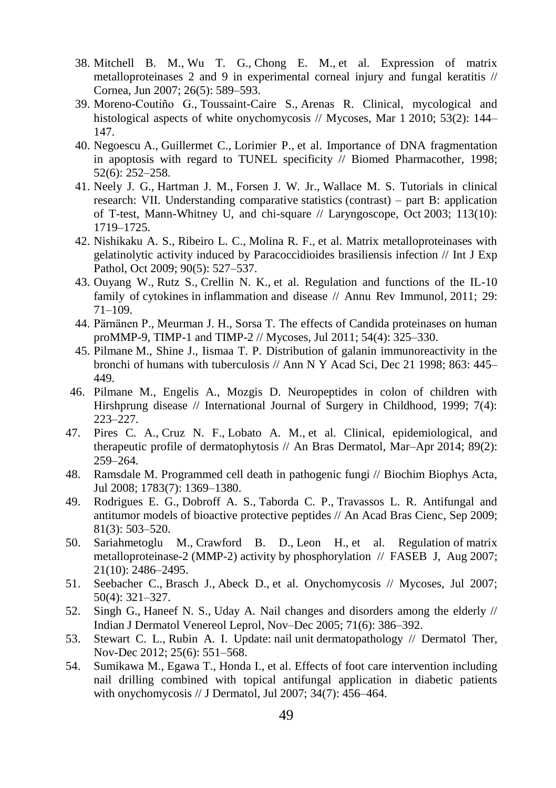- 38. [Mitchell B. M.,](http://www.ncbi.nlm.nih.gov/pubmed?term=Mitchell%20BM%5BAuthor%5D&cauthor=true&cauthor_uid=17525657) [Wu T. G.,](http://www.ncbi.nlm.nih.gov/pubmed?term=Wu%20TG%5BAuthor%5D&cauthor=true&cauthor_uid=17525657) [Chong E. M.](http://www.ncbi.nlm.nih.gov/pubmed?term=Chong%20EM%5BAuthor%5D&cauthor=true&cauthor_uid=17525657), et al. Expression of matrix metalloproteinases 2 and 9 in experimental corneal injury and fungal keratitis // [Cornea,](http://www.ncbi.nlm.nih.gov/pubmed/17525657) Jun 2007; 26(5): 589–593.
- 39. [Moreno-Coutiño G.,](http://www.ncbi.nlm.nih.gov/pubmed?term=Moreno-Couti%C3%B1o%20G%5BAuthor%5D&cauthor=true&cauthor_uid=19389073) [Toussaint-Caire S.,](http://www.ncbi.nlm.nih.gov/pubmed?term=Toussaint-Caire%20S%5BAuthor%5D&cauthor=true&cauthor_uid=19389073) [Arenas R.](http://www.ncbi.nlm.nih.gov/pubmed?term=Arenas%20R%5BAuthor%5D&cauthor=true&cauthor_uid=19389073) Clinical, mycological and histological aspects of white onychomycosis // [Mycoses,](http://www.ncbi.nlm.nih.gov/pubmed/?term=Moreno-Couti%C3%B1o%2C+2009+nail+biopsy) Mar 1 2010; 53(2): 144– 147.
- 40. [Negoescu](http://www.ncbi.nlm.nih.gov/pubmed?term=Negoescu%20A%5BAuthor%5D&cauthor=true&cauthor_uid=9755824) A., [Guillermet C.,](http://www.ncbi.nlm.nih.gov/pubmed?term=Guillermet%20C%5BAuthor%5D&cauthor=true&cauthor_uid=9755824) [Lorimier P.](http://www.ncbi.nlm.nih.gov/pubmed?term=Lorimier%20P%5BAuthor%5D&cauthor=true&cauthor_uid=9755824), et al. Importance of DNA fragmentation in apoptosis with regard to TUNEL specificity  $\hat{N}$  [Biomed Pharmacother,](http://www.ncbi.nlm.nih.gov/pubmed/9755824) 1998; 52(6): 252–258.
- 41. [Neely J. G.](http://www.ncbi.nlm.nih.gov/pubmed?term=Neely%20JG%5BAuthor%5D&cauthor=true&cauthor_uid=14520096), [Hartman J. M.,](http://www.ncbi.nlm.nih.gov/pubmed?term=Hartman%20JM%5BAuthor%5D&cauthor=true&cauthor_uid=14520096) [Forsen J. W. Jr.](http://www.ncbi.nlm.nih.gov/pubmed?term=Forsen%20JW%20Jr%5BAuthor%5D&cauthor=true&cauthor_uid=14520096), [Wallace M. S.](http://www.ncbi.nlm.nih.gov/pubmed?term=Wallace%20MS%5BAuthor%5D&cauthor=true&cauthor_uid=14520096) Tutorials in clinical research: VII. Understanding comparative statistics (contrast) – part B: application of T-test, Mann-Whitney U, and chi-square // [Laryngoscope,](http://www.ncbi.nlm.nih.gov/pubmed/14520096) Oct 2003; 113(10): 1719–1725.
- 42. [Nishikaku A. S.,](http://www.ncbi.nlm.nih.gov/pubmed?term=Nishikaku%20AS%5BAuthor%5D&cauthor=true&cauthor_uid=19765107) [Ribeiro L. C.,](http://www.ncbi.nlm.nih.gov/pubmed?term=Ribeiro%20LC%5BAuthor%5D&cauthor=true&cauthor_uid=19765107) [Molina R. F.,](http://www.ncbi.nlm.nih.gov/pubmed?term=Molina%20RF%5BAuthor%5D&cauthor=true&cauthor_uid=19765107) et al. Matrix metalloproteinases with gelatinolytic activity induced by Paracoccidioides brasiliensis infection // [Int J Exp](http://www.ncbi.nlm.nih.gov/pubmed/19765107)  [Pathol,](http://www.ncbi.nlm.nih.gov/pubmed/19765107) Oct 2009; 90(5): 527–537.
- 43. [Ouyang W.](http://www.ncbi.nlm.nih.gov/pubmed?term=Ouyang%20W%5BAuthor%5D&cauthor=true&cauthor_uid=21166540), [Rutz S.](http://www.ncbi.nlm.nih.gov/pubmed?term=Rutz%20S%5BAuthor%5D&cauthor=true&cauthor_uid=21166540), [Crellin N. K.](http://www.ncbi.nlm.nih.gov/pubmed?term=Crellin%20NK%5BAuthor%5D&cauthor=true&cauthor_uid=21166540), et al. Regulation and functions of the IL-10 family of cytokines in inflammation and disease // [Annu Rev Immunol,](http://www.ncbi.nlm.nih.gov/pubmed/21166540) 2011; 29: 71–109.
- 44. [Pärnänen P.](http://www.ncbi.nlm.nih.gov/pubmed?term=P%C3%A4rn%C3%A4nen%20P%5BAuthor%5D&cauthor=true&cauthor_uid=20406392), [Meurman J. H.](http://www.ncbi.nlm.nih.gov/pubmed?term=Meurman%20JH%5BAuthor%5D&cauthor=true&cauthor_uid=20406392), [Sorsa T.](http://www.ncbi.nlm.nih.gov/pubmed?term=Sorsa%20T%5BAuthor%5D&cauthor=true&cauthor_uid=20406392) The effects of Candida proteinases on human proMMP-9, TIMP-1 and TIMP-2 // [Mycoses,](http://www.ncbi.nlm.nih.gov/pubmed/20406392) Jul 2011; 54(4): 325–330.
- 45. Pilmane M., Shine J., Iismaa T. P. [Distribution of galanin immunoreactivity in the](http://www.ncbi.nlm.nih.gov/pubmed/9928196)  [bronchi of humans with tuberculosis](http://www.ncbi.nlm.nih.gov/pubmed/9928196) // Ann N Y Acad Sci, Dec 21 1998; 863: 445– 449.
- 46. Pilmane M., Engelis A., Mozgis D. Neuropeptides in colon of children with Hirshprung disease // International Journal of Surgery in Childhood, 1999; 7(4): 223–227.
- 47. [Pires C. A.,](http://www.ncbi.nlm.nih.gov/pubmed?term=Pires%20CA%5BAuthor%5D&cauthor=true&cauthor_uid=24770502) [Cruz N. F.,](http://www.ncbi.nlm.nih.gov/pubmed?term=Cruz%20NF%5BAuthor%5D&cauthor=true&cauthor_uid=24770502) [Lobato A. M.](http://www.ncbi.nlm.nih.gov/pubmed?term=Lobato%20AM%5BAuthor%5D&cauthor=true&cauthor_uid=24770502), et al. Clinical, epidemiological, and therapeutic profile of dermatophytosis // [An Bras Dermatol,](http://www.ncbi.nlm.nih.gov/pubmed/24770502) Mar–Apr 2014; 89(2): 259–264.
- 48. [Ramsdale M.](http://www.ncbi.nlm.nih.gov/pubmed?term=Ramsdale%20M%5BAuthor%5D&cauthor=true&cauthor_uid=18294459) Programmed cell death in pathogenic fungi // [Biochim Biophys Acta,](http://www.ncbi.nlm.nih.gov/pubmed/18294459) Jul 2008; 1783(7): 1369–1380.
- 49. [Rodrigues E. G.,](http://www.ncbi.nlm.nih.gov/pubmed?term=Rodrigues%20EG%5BAuthor%5D&cauthor=true&cauthor_uid=19722020) [Dobroff A. S.](http://www.ncbi.nlm.nih.gov/pubmed?term=Dobroff%20AS%5BAuthor%5D&cauthor=true&cauthor_uid=19722020), [Taborda C. P.,](http://www.ncbi.nlm.nih.gov/pubmed?term=Taborda%20CP%5BAuthor%5D&cauthor=true&cauthor_uid=19722020) [Travassos L. R.](http://www.ncbi.nlm.nih.gov/pubmed?term=Travassos%20LR%5BAuthor%5D&cauthor=true&cauthor_uid=19722020) Antifungal and antitumor models of bioactive protective peptides // An Acad Bras Cienc, Sep 2009; 81(3): 503–520.
- 50. [Sariahmetoglu M.,](http://www.ncbi.nlm.nih.gov/pubmed?term=Sariahmetoglu%20M%5BAuthor%5D&cauthor=true&cauthor_uid=17435175) [Crawford B. D.](http://www.ncbi.nlm.nih.gov/pubmed?term=Crawford%20BD%5BAuthor%5D&cauthor=true&cauthor_uid=17435175), [Leon H.](http://www.ncbi.nlm.nih.gov/pubmed?term=Leon%20H%5BAuthor%5D&cauthor=true&cauthor_uid=17435175), et al. Regulation of matrix metalloproteinase-2 (MMP-2) activity by phosphorylation // [FASEB J,](http://www.ncbi.nlm.nih.gov/pubmed/17435175) Aug 2007; 21(10): 2486–2495.
- 51. [Seebacher C.,](http://www.ncbi.nlm.nih.gov/pubmed?term=Seebacher%20C%5BAuthor%5D&cauthor=true&cauthor_uid=17576328) [Brasch J.](http://www.ncbi.nlm.nih.gov/pubmed?term=Brasch%20J%5BAuthor%5D&cauthor=true&cauthor_uid=17576328), [Abeck D.](http://www.ncbi.nlm.nih.gov/pubmed?term=Abeck%20D%5BAuthor%5D&cauthor=true&cauthor_uid=17576328), et al. Onychomycosis // Mycoses, Jul 2007; 50(4): 321–327.
- 52. [Singh G.,](http://www.ncbi.nlm.nih.gov/pubmed?term=Singh%20G%5BAuthor%5D&cauthor=true&cauthor_uid=16394478) [Haneef N. S.](http://www.ncbi.nlm.nih.gov/pubmed?term=Haneef%20NS%5BAuthor%5D&cauthor=true&cauthor_uid=16394478), [Uday A.](http://www.ncbi.nlm.nih.gov/pubmed?term=Uday%20A%5BAuthor%5D&cauthor=true&cauthor_uid=16394478) Nail changes and disorders among the elderly // [Indian J Dermatol Venereol Leprol,](http://www.ncbi.nlm.nih.gov/pubmed/16394478) Nov–Dec 2005; 71(6): 386–392.
- 53. [Stewart C. L.,](http://www.ncbi.nlm.nih.gov/pubmed?term=Stewart%20CL%5BAuthor%5D&cauthor=true&cauthor_uid=23210754) [Rubin A. I.](http://www.ncbi.nlm.nih.gov/pubmed?term=Rubin%20AI%5BAuthor%5D&cauthor=true&cauthor_uid=23210754) Update: nail unit dermatopathology // [Dermatol Ther,](http://www.ncbi.nlm.nih.gov/pubmed/?term=update+nail+unit+dermatopathology) Nov-Dec 2012; 25(6): 551–568.
- 54. [Sumikawa M.,](http://www.ncbi.nlm.nih.gov/pubmed?term=Sumikawa%20M%5BAuthor%5D&cauthor=true&cauthor_uid=17584323) [Egawa T.,](http://www.ncbi.nlm.nih.gov/pubmed?term=Egawa%20T%5BAuthor%5D&cauthor=true&cauthor_uid=17584323) [Honda I.,](http://www.ncbi.nlm.nih.gov/pubmed?term=Honda%20I%5BAuthor%5D&cauthor=true&cauthor_uid=17584323) et al. Effects of foot care intervention including nail drilling combined with topical antifungal application in diabetic patients with onychomycosis /[/ J Dermatol,](http://www.ncbi.nlm.nih.gov/pubmed/17584323) Jul 2007; 34(7): 456–464.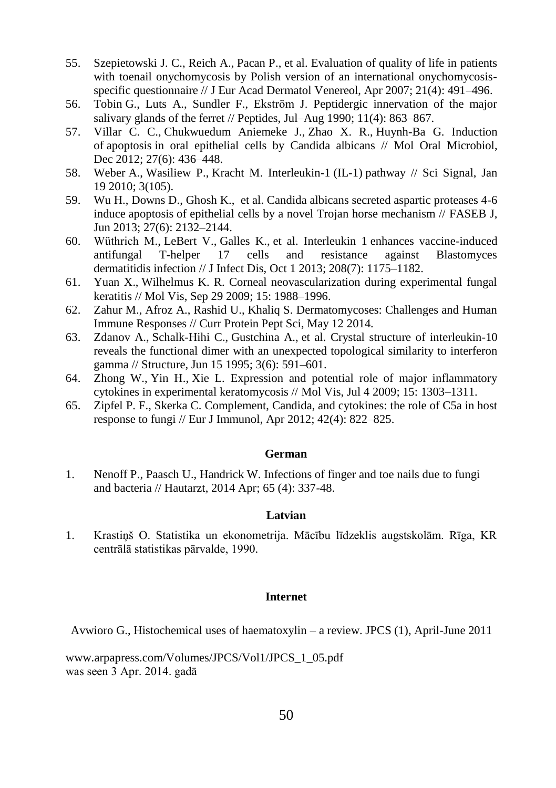- 55. [Szepietowski J. C.,](http://www.ncbi.nlm.nih.gov/pubmed?term=Szepietowski%20JC%5BAuthor%5D&cauthor=true&cauthor_uid=17373976) [Reich A.,](http://www.ncbi.nlm.nih.gov/pubmed?term=Reich%20A%5BAuthor%5D&cauthor=true&cauthor_uid=17373976) [Pacan P.](http://www.ncbi.nlm.nih.gov/pubmed?term=Pacan%20P%5BAuthor%5D&cauthor=true&cauthor_uid=17373976), et al. Evaluation of quality of life in patients with toenail onychomycosis by Polish version of an international onychomycosisspecific questionnaire // J Eur Acad Dermatol Venereol, Apr 2007; 21(4): 491–496.
- 56. Tobin G., Luts A., Sundler F., Ekström J. [Peptidergic innervation of the major](http://www.ncbi.nlm.nih.gov/pubmed/2235685)  [salivary glands of the ferret](http://www.ncbi.nlm.nih.gov/pubmed/2235685) // Peptides, Jul–Aug 1990; 11(4): 863–867.
- 57. [Villar C. C.](http://www.ncbi.nlm.nih.gov/pubmed?term=Villar%20CC%5BAuthor%5D&cauthor=true&cauthor_uid=23134609), [Chukwuedum Aniemeke J.](http://www.ncbi.nlm.nih.gov/pubmed?term=Chukwuedum%20Aniemeke%20J%5BAuthor%5D&cauthor=true&cauthor_uid=23134609), [Zhao X. R.](http://www.ncbi.nlm.nih.gov/pubmed?term=Zhao%20XR%5BAuthor%5D&cauthor=true&cauthor_uid=23134609), [Huynh-Ba G.](http://www.ncbi.nlm.nih.gov/pubmed?term=Huynh-Ba%20G%5BAuthor%5D&cauthor=true&cauthor_uid=23134609) Induction of apoptosis in oral epithelial cells by Candida albicans // [Mol Oral Microbiol,](http://www.ncbi.nlm.nih.gov/pubmed/23134609) Dec 2012; 27(6): 436–448.
- 58. [Weber](http://www.ncbi.nlm.nih.gov/pubmed?term=Weber%20A%5BAuthor%5D&cauthor=true&cauthor_uid=20086235) A., [Wasiliew P.](http://www.ncbi.nlm.nih.gov/pubmed?term=Wasiliew%20P%5BAuthor%5D&cauthor=true&cauthor_uid=20086235), [Kracht M.](http://www.ncbi.nlm.nih.gov/pubmed?term=Kracht%20M%5BAuthor%5D&cauthor=true&cauthor_uid=20086235) Interleukin-1 (IL-1) pathway // [Sci Signal,](http://www.ncbi.nlm.nih.gov/pubmed/20086235) Jan 19 2010; 3(105).
- 59. [Wu H.,](http://www.ncbi.nlm.nih.gov/pubmed?term=Wu%20H%5BAuthor%5D&cauthor=true&cauthor_uid=23430844) [Downs D.,](http://www.ncbi.nlm.nih.gov/pubmed?term=Downs%20D%5BAuthor%5D&cauthor=true&cauthor_uid=23430844) [Ghosh K.](http://www.ncbi.nlm.nih.gov/pubmed?term=Ghosh%20K%5BAuthor%5D&cauthor=true&cauthor_uid=23430844), et al. Candida albicans secreted aspartic proteases 4-6 induce apoptosis of epithelial cells by a novel Trojan horse mechanism // [FASEB J,](http://www.ncbi.nlm.nih.gov/pubmed/23430844) Jun 2013; 27(6): 2132–2144.
- 60. [Wüthrich M.](http://www.ncbi.nlm.nih.gov/pubmed?term=W%C3%BCthrich%20M%5BAuthor%5D&cauthor=true&cauthor_uid=23788728), [LeBert V.](http://www.ncbi.nlm.nih.gov/pubmed?term=LeBert%20V%5BAuthor%5D&cauthor=true&cauthor_uid=23788728), [Galles K.,](http://www.ncbi.nlm.nih.gov/pubmed?term=Galles%20K%5BAuthor%5D&cauthor=true&cauthor_uid=23788728) et al. Interleukin 1 enhances vaccine-induced antifungal T-helper 17 cells and resistance against Blastomyces dermatitidis infection /[/ J Infect Dis,](http://www.ncbi.nlm.nih.gov/pubmed/23788728) Oct 1 2013; 208(7): 1175–1182.
- 61. [Yuan X.](http://www.ncbi.nlm.nih.gov/pubmed?term=Yuan%20X%5BAuthor%5D&cauthor=true&cauthor_uid=19816603), [Wilhelmus K. R.](http://www.ncbi.nlm.nih.gov/pubmed?term=Wilhelmus%20KR%5BAuthor%5D&cauthor=true&cauthor_uid=19816603) Corneal neovascularization during experimental fungal keratitis // [Mol Vis,](http://www.ncbi.nlm.nih.gov/pubmed/19816603) Sep 29 2009; 15: 1988–1996.
- 62. [Zahur M.](http://www.ncbi.nlm.nih.gov/pubmed?term=Zahur%20M%5BAuthor%5D&cauthor=true&cauthor_uid=24818759), [Afroz A.,](http://www.ncbi.nlm.nih.gov/pubmed?term=Afroz%20A%5BAuthor%5D&cauthor=true&cauthor_uid=24818759) [Rashid U.,](http://www.ncbi.nlm.nih.gov/pubmed?term=Rashid%20U%5BAuthor%5D&cauthor=true&cauthor_uid=24818759) [Khaliq S.](http://www.ncbi.nlm.nih.gov/pubmed?term=Khaliq%20S%5BAuthor%5D&cauthor=true&cauthor_uid=24818759) Dermatomycoses: Challenges and Human Immune Responses /[/ Curr Protein Pept Sci,](http://www.ncbi.nlm.nih.gov/pubmed/24818759) May 12 2014.
- 63. [Zdanov A.](http://www.ncbi.nlm.nih.gov/pubmed?term=Zdanov%20A%5BAuthor%5D&cauthor=true&cauthor_uid=8590020), [Schalk-Hihi C.](http://www.ncbi.nlm.nih.gov/pubmed?term=Schalk-Hihi%20C%5BAuthor%5D&cauthor=true&cauthor_uid=8590020), [Gustchina A.](http://www.ncbi.nlm.nih.gov/pubmed?term=Gustchina%20A%5BAuthor%5D&cauthor=true&cauthor_uid=8590020), et al. Crystal structure of interleukin-10 reveals the functional dimer with an unexpected topological similarity to interferon gamma // [Structure,](http://www.ncbi.nlm.nih.gov/pubmed/?term=Wlodawer+A%2C+Zdanov+A%2C+Schalk-Hihi+C%2C+Gustchina+A%2C+Tsang+M%2C+Weatherbee+J+(1995).+%22Crystal+structure+of+interleukin+10+reveals+the+functional+dimer+with+an+unexpected+topological+similarity+to+interferon+gamma%22.+Structure+3+(6)%3A+591%E2%80%93601.) Jun 15 1995; 3(6): 591–601.
- 64. [Zhong W.](http://www.ncbi.nlm.nih.gov/pubmed?term=Zhong%20W%5BAuthor%5D&cauthor=true&cauthor_uid=19590756), [Yin H.](http://www.ncbi.nlm.nih.gov/pubmed?term=Yin%20H%5BAuthor%5D&cauthor=true&cauthor_uid=19590756), [Xie L.](http://www.ncbi.nlm.nih.gov/pubmed?term=Xie%20L%5BAuthor%5D&cauthor=true&cauthor_uid=19590756) Expression and potential role of major inflammatory cytokines in experimental keratomycosis /[/ Mol Vis,](http://www.ncbi.nlm.nih.gov/pubmed/19590756) Jul 4 2009; 15: 1303–1311.
- 65. [Zipfel P. F.](http://www.ncbi.nlm.nih.gov/pubmed?term=Zipfel%20PF%5BAuthor%5D&cauthor=true&cauthor_uid=22531909), [Skerka C.](http://www.ncbi.nlm.nih.gov/pubmed?term=Skerka%20C%5BAuthor%5D&cauthor=true&cauthor_uid=22531909) Complement, Candida, and cytokines: the role of C5a in host response to fungi /[/ Eur J Immunol,](http://www.ncbi.nlm.nih.gov/pubmed/22531909) Apr 2012; 42(4): 822–825.

#### **German**

1. Nenoff P., Paasch U., Handrick W[. Infections of finger and toe nails due to fungi](http://www.ncbi.nlm.nih.gov/pubmed/24718510)  [and bacteria](http://www.ncbi.nlm.nih.gov/pubmed/24718510) // Hautarzt, 2014 Apr; 65 (4): 337-48.

#### **Latvian**

1. Krastiņš O. Statistika un ekonometrija. Mācību līdzeklis augstskolām. Rīga, KR centrālā statistikas pārvalde, 1990.

#### **Internet**

Avwioro G., Histochemical uses of haematoxylin – a review. JPCS (1), April-June 2011

[www.arpapress.com/Volumes/JPCS/Vol1/JPCS\\_1\\_05.pdf](http://www.arpapress.com/Volumes/JPCS/Vol1/JPCS_1_05.pdf) was seen 3 Apr. 2014. gadā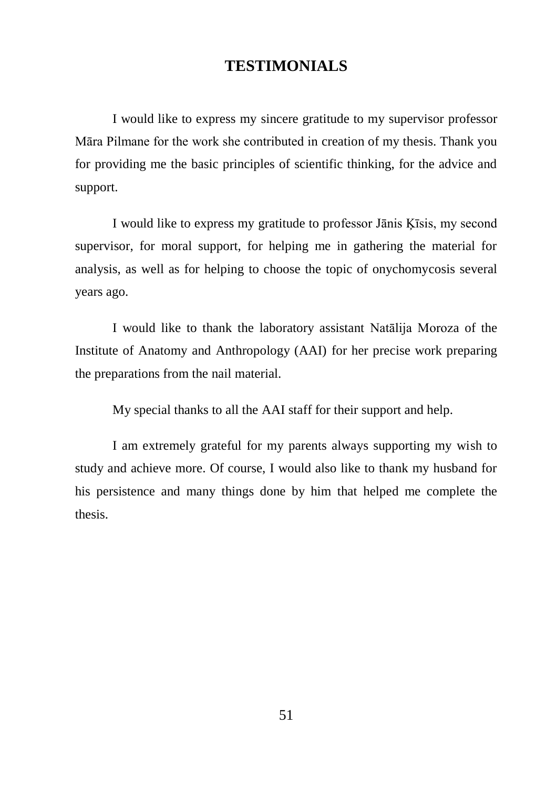# **TESTIMONIALS**

<span id="page-51-0"></span>I would like to express my sincere gratitude to my supervisor professor Māra Pilmane for the work she contributed in creation of my thesis. Thank you for providing me the basic principles of scientific thinking, for the advice and support.

I would like to express my gratitude to professor Jānis Ķīsis, my second supervisor, for moral support, for helping me in gathering the material for analysis, as well as for helping to choose the topic of onychomycosis several years ago.

I would like to thank the laboratory assistant Natālija Moroza of the Institute of Anatomy and Anthropology (AAI) for her precise work preparing the preparations from the nail material.

My special thanks to all the AAI staff for their support and help.

I am extremely grateful for my parents always supporting my wish to study and achieve more. Of course, I would also like to thank my husband for his persistence and many things done by him that helped me complete the thesis.

51